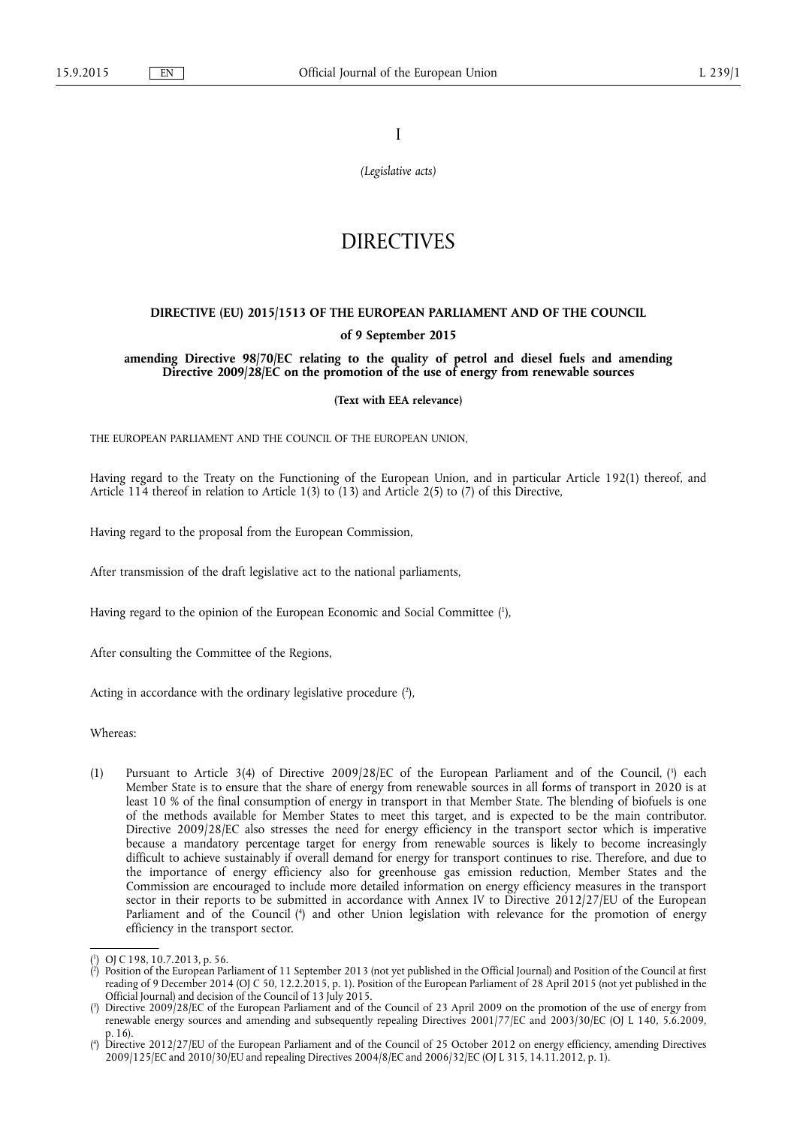I

*(Legislative acts)* 

# **DIRECTIVES**

## **DIRECTIVE (EU) 2015/1513 OF THE EUROPEAN PARLIAMENT AND OF THE COUNCIL**

### **of 9 September 2015**

**amending Directive 98/70/EC relating to the quality of petrol and diesel fuels and amending Directive 2009/28/EC on the promotion of the use of energy from renewable sources** 

**(Text with EEA relevance)** 

THE EUROPEAN PARLIAMENT AND THE COUNCIL OF THE EUROPEAN UNION,

Having regard to the Treaty on the Functioning of the European Union, and in particular Article 192(1) thereof, and Article 114 thereof in relation to Article 1(3) to (13) and Article 2(5) to (7) of this Directive,

Having regard to the proposal from the European Commission,

After transmission of the draft legislative act to the national parliaments,

Having regard to the opinion of the European Economic and Social Committee ( 1 ),

After consulting the Committee of the Regions,

Acting in accordance with the ordinary legislative procedure  $(2)$ ,

Whereas:

(1) Pursuant to Article 3(4) of Directive 2009/28/EC of the European Parliament and of the Council, (<sup>3</sup>) each Member State is to ensure that the share of energy from renewable sources in all forms of transport in 2020 is at least 10 % of the final consumption of energy in transport in that Member State. The blending of biofuels is one of the methods available for Member States to meet this target, and is expected to be the main contributor. Directive 2009/28/EC also stresses the need for energy efficiency in the transport sector which is imperative because a mandatory percentage target for energy from renewable sources is likely to become increasingly difficult to achieve sustainably if overall demand for energy for transport continues to rise. Therefore, and due to the importance of energy efficiency also for greenhouse gas emission reduction, Member States and the Commission are encouraged to include more detailed information on energy efficiency measures in the transport sector in their reports to be submitted in accordance with Annex IV to Directive 2012/27/EU of the European Parliament and of the Council ( 4 ) and other Union legislation with relevance for the promotion of energy efficiency in the transport sector.

<sup>(</sup> 1 ) OJ C 198, 10.7.2013, p. 56.

<sup>(</sup> 2 ) Position of the European Parliament of 11 September 2013 (not yet published in the Official Journal) and Position of the Council at first reading of 9 December 2014 (OJ C 50, 12.2.2015, p. 1). Position of the European Parliament of 28 April 2015 (not yet published in the Official Journal) and decision of the Council of 13 July 2015.

<sup>(</sup> 3 ) Directive 2009/28/EC of the European Parliament and of the Council of 23 April 2009 on the promotion of the use of energy from renewable energy sources and amending and subsequently repealing Directives 2001/77/EC and 2003/30/EC (OJ L 140, 5.6.2009, p. 16).

<sup>(</sup> 4 ) Directive 2012/27/EU of the European Parliament and of the Council of 25 October 2012 on energy efficiency, amending Directives 2009/125/EC and 2010/30/EU and repealing Directives 2004/8/EC and 2006/32/EC (OJ L 315, 14.11.2012, p. 1).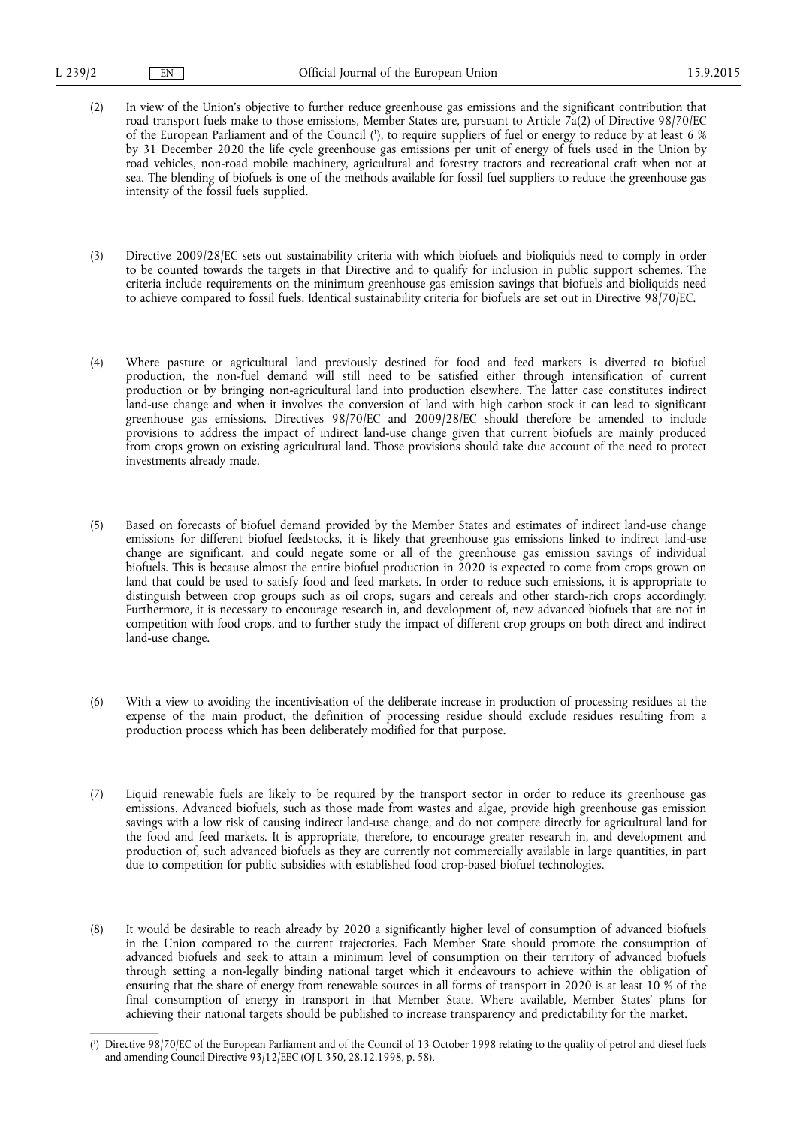- (2) In view of the Union's objective to further reduce greenhouse gas emissions and the significant contribution that road transport fuels make to those emissions, Member States are, pursuant to Article 7a(2) of Directive 98/70/EC of the European Parliament and of the Council ( 1 ), to require suppliers of fuel or energy to reduce by at least 6 % by 31 December 2020 the life cycle greenhouse gas emissions per unit of energy of fuels used in the Union by road vehicles, non-road mobile machinery, agricultural and forestry tractors and recreational craft when not at sea. The blending of biofuels is one of the methods available for fossil fuel suppliers to reduce the greenhouse gas intensity of the fossil fuels supplied.
- (3) Directive 2009/28/EC sets out sustainability criteria with which biofuels and bioliquids need to comply in order to be counted towards the targets in that Directive and to qualify for inclusion in public support schemes. The criteria include requirements on the minimum greenhouse gas emission savings that biofuels and bioliquids need to achieve compared to fossil fuels. Identical sustainability criteria for biofuels are set out in Directive 98/70/EC.
- (4) Where pasture or agricultural land previously destined for food and feed markets is diverted to biofuel production, the non-fuel demand will still need to be satisfied either through intensification of current production or by bringing non-agricultural land into production elsewhere. The latter case constitutes indirect land-use change and when it involves the conversion of land with high carbon stock it can lead to significant greenhouse gas emissions. Directives 98/70/EC and 2009/28/EC should therefore be amended to include provisions to address the impact of indirect land-use change given that current biofuels are mainly produced from crops grown on existing agricultural land. Those provisions should take due account of the need to protect investments already made.
- (5) Based on forecasts of biofuel demand provided by the Member States and estimates of indirect land-use change emissions for different biofuel feedstocks, it is likely that greenhouse gas emissions linked to indirect land-use change are significant, and could negate some or all of the greenhouse gas emission savings of individual biofuels. This is because almost the entire biofuel production in 2020 is expected to come from crops grown on land that could be used to satisfy food and feed markets. In order to reduce such emissions, it is appropriate to distinguish between crop groups such as oil crops, sugars and cereals and other starch-rich crops accordingly. Furthermore, it is necessary to encourage research in, and development of, new advanced biofuels that are not in competition with food crops, and to further study the impact of different crop groups on both direct and indirect land-use change.
- (6) With a view to avoiding the incentivisation of the deliberate increase in production of processing residues at the expense of the main product, the definition of processing residue should exclude residues resulting from a production process which has been deliberately modified for that purpose.
- (7) Liquid renewable fuels are likely to be required by the transport sector in order to reduce its greenhouse gas emissions. Advanced biofuels, such as those made from wastes and algae, provide high greenhouse gas emission savings with a low risk of causing indirect land-use change, and do not compete directly for agricultural land for the food and feed markets. It is appropriate, therefore, to encourage greater research in, and development and production of, such advanced biofuels as they are currently not commercially available in large quantities, in part due to competition for public subsidies with established food crop-based biofuel technologies.
- (8) It would be desirable to reach already by 2020 a significantly higher level of consumption of advanced biofuels in the Union compared to the current trajectories. Each Member State should promote the consumption of advanced biofuels and seek to attain a minimum level of consumption on their territory of advanced biofuels through setting a non-legally binding national target which it endeavours to achieve within the obligation of ensuring that the share of energy from renewable sources in all forms of transport in 2020 is at least 10 % of the final consumption of energy in transport in that Member State. Where available, Member States' plans for achieving their national targets should be published to increase transparency and predictability for the market.

<sup>(</sup> 1 ) Directive 98/70/EC of the European Parliament and of the Council of 13 October 1998 relating to the quality of petrol and diesel fuels and amending Council Directive 93/12/EEC (OJ L 350, 28.12.1998, p. 58).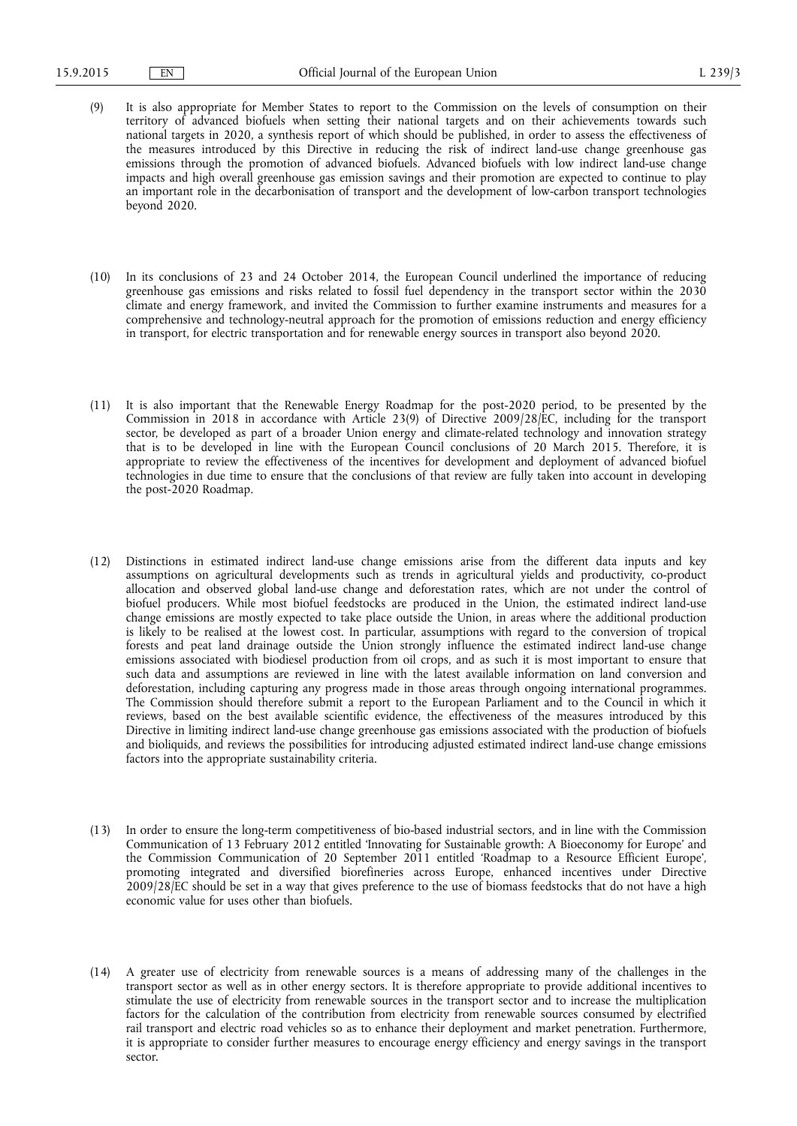- (9) It is also appropriate for Member States to report to the Commission on the levels of consumption on their territory of advanced biofuels when setting their national targets and on their achievements towards such national targets in 2020, a synthesis report of which should be published, in order to assess the effectiveness of the measures introduced by this Directive in reducing the risk of indirect land-use change greenhouse gas emissions through the promotion of advanced biofuels. Advanced biofuels with low indirect land-use change impacts and high overall greenhouse gas emission savings and their promotion are expected to continue to play an important role in the decarbonisation of transport and the development of low-carbon transport technologies beyond 2020.
- (10) In its conclusions of 23 and 24 October 2014, the European Council underlined the importance of reducing greenhouse gas emissions and risks related to fossil fuel dependency in the transport sector within the 2030 climate and energy framework, and invited the Commission to further examine instruments and measures for a comprehensive and technology-neutral approach for the promotion of emissions reduction and energy efficiency in transport, for electric transportation and for renewable energy sources in transport also beyond 2020.
- (11) It is also important that the Renewable Energy Roadmap for the post-2020 period, to be presented by the Commission in 2018 in accordance with Article 23(9) of Directive 2009/28/EC, including for the transport sector, be developed as part of a broader Union energy and climate-related technology and innovation strategy that is to be developed in line with the European Council conclusions of 20 March 2015. Therefore, it is appropriate to review the effectiveness of the incentives for development and deployment of advanced biofuel technologies in due time to ensure that the conclusions of that review are fully taken into account in developing the post-2020 Roadmap.
- (12) Distinctions in estimated indirect land-use change emissions arise from the different data inputs and key assumptions on agricultural developments such as trends in agricultural yields and productivity, co-product allocation and observed global land-use change and deforestation rates, which are not under the control of biofuel producers. While most biofuel feedstocks are produced in the Union, the estimated indirect land-use change emissions are mostly expected to take place outside the Union, in areas where the additional production is likely to be realised at the lowest cost. In particular, assumptions with regard to the conversion of tropical forests and peat land drainage outside the Union strongly influence the estimated indirect land-use change emissions associated with biodiesel production from oil crops, and as such it is most important to ensure that such data and assumptions are reviewed in line with the latest available information on land conversion and deforestation, including capturing any progress made in those areas through ongoing international programmes. The Commission should therefore submit a report to the European Parliament and to the Council in which it reviews, based on the best available scientific evidence, the effectiveness of the measures introduced by this Directive in limiting indirect land-use change greenhouse gas emissions associated with the production of biofuels and bioliquids, and reviews the possibilities for introducing adjusted estimated indirect land-use change emissions factors into the appropriate sustainability criteria.
- (13) In order to ensure the long-term competitiveness of bio-based industrial sectors, and in line with the Commission Communication of 13 February 2012 entitled 'Innovating for Sustainable growth: A Bioeconomy for Europe' and the Commission Communication of 20 September 2011 entitled 'Roadmap to a Resource Efficient Europe', promoting integrated and diversified biorefineries across Europe, enhanced incentives under Directive 2009/28/EC should be set in a way that gives preference to the use of biomass feedstocks that do not have a high economic value for uses other than biofuels.
- (14) A greater use of electricity from renewable sources is a means of addressing many of the challenges in the transport sector as well as in other energy sectors. It is therefore appropriate to provide additional incentives to stimulate the use of electricity from renewable sources in the transport sector and to increase the multiplication factors for the calculation of the contribution from electricity from renewable sources consumed by electrified rail transport and electric road vehicles so as to enhance their deployment and market penetration. Furthermore, it is appropriate to consider further measures to encourage energy efficiency and energy savings in the transport sector.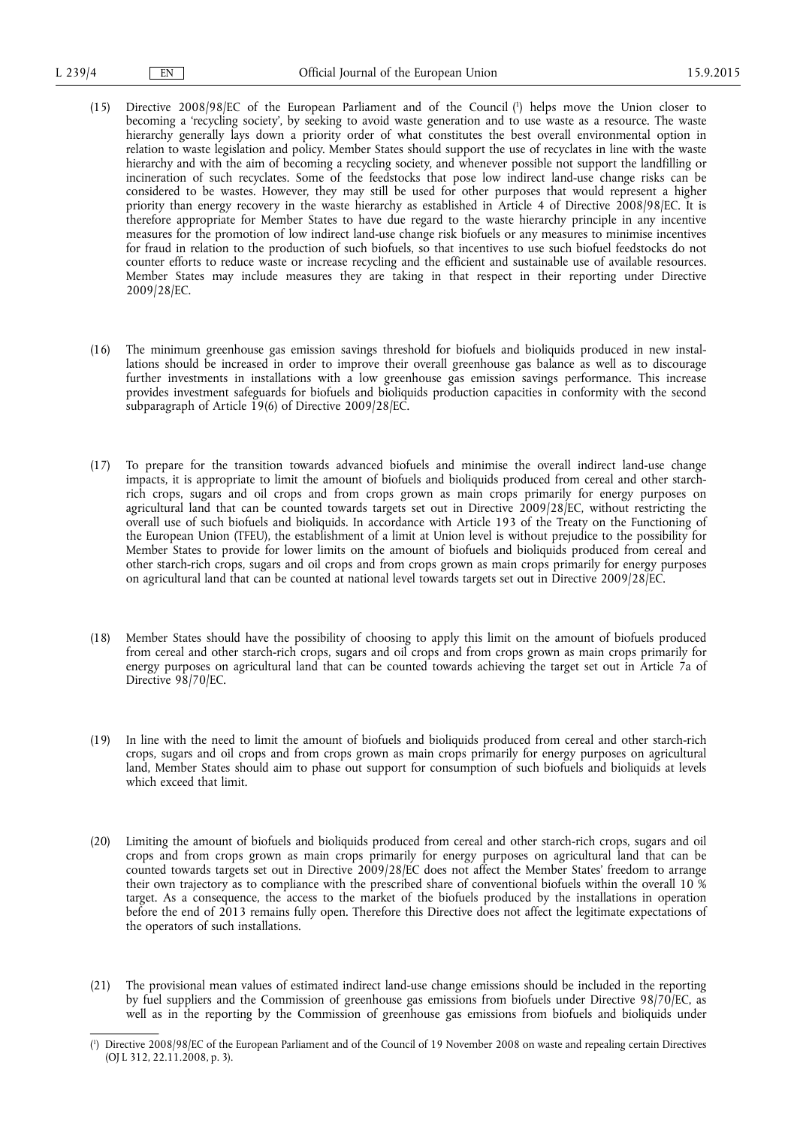- (15) Directive 2008/98/EC of the European Parliament and of the Council ( 1 ) helps move the Union closer to becoming a 'recycling society', by seeking to avoid waste generation and to use waste as a resource. The waste hierarchy generally lays down a priority order of what constitutes the best overall environmental option in relation to waste legislation and policy. Member States should support the use of recyclates in line with the waste hierarchy and with the aim of becoming a recycling society, and whenever possible not support the landfilling or incineration of such recyclates. Some of the feedstocks that pose low indirect land-use change risks can be considered to be wastes. However, they may still be used for other purposes that would represent a higher priority than energy recovery in the waste hierarchy as established in Article 4 of Directive 2008/98/EC. It is therefore appropriate for Member States to have due regard to the waste hierarchy principle in any incentive measures for the promotion of low indirect land-use change risk biofuels or any measures to minimise incentives for fraud in relation to the production of such biofuels, so that incentives to use such biofuel feedstocks do not counter efforts to reduce waste or increase recycling and the efficient and sustainable use of available resources. Member States may include measures they are taking in that respect in their reporting under Directive 2009/28/EC.
- (16) The minimum greenhouse gas emission savings threshold for biofuels and bioliquids produced in new installations should be increased in order to improve their overall greenhouse gas balance as well as to discourage further investments in installations with a low greenhouse gas emission savings performance. This increase provides investment safeguards for biofuels and bioliquids production capacities in conformity with the second subparagraph of Article 19(6) of Directive 2009/28/EC.
- (17) To prepare for the transition towards advanced biofuels and minimise the overall indirect land-use change impacts, it is appropriate to limit the amount of biofuels and bioliquids produced from cereal and other starchrich crops, sugars and oil crops and from crops grown as main crops primarily for energy purposes on agricultural land that can be counted towards targets set out in Directive 2009/28/EC, without restricting the overall use of such biofuels and bioliquids. In accordance with Article 193 of the Treaty on the Functioning of the European Union (TFEU), the establishment of a limit at Union level is without prejudice to the possibility for Member States to provide for lower limits on the amount of biofuels and bioliquids produced from cereal and other starch-rich crops, sugars and oil crops and from crops grown as main crops primarily for energy purposes on agricultural land that can be counted at national level towards targets set out in Directive 2009/28/EC.
- (18) Member States should have the possibility of choosing to apply this limit on the amount of biofuels produced from cereal and other starch-rich crops, sugars and oil crops and from crops grown as main crops primarily for energy purposes on agricultural land that can be counted towards achieving the target set out in Article 7a of Directive 98/70/EC.
- (19) In line with the need to limit the amount of biofuels and bioliquids produced from cereal and other starch-rich crops, sugars and oil crops and from crops grown as main crops primarily for energy purposes on agricultural land, Member States should aim to phase out support for consumption of such biofuels and bioliquids at levels which exceed that limit.
- (20) Limiting the amount of biofuels and bioliquids produced from cereal and other starch-rich crops, sugars and oil crops and from crops grown as main crops primarily for energy purposes on agricultural land that can be counted towards targets set out in Directive 2009/28/EC does not affect the Member States' freedom to arrange their own trajectory as to compliance with the prescribed share of conventional biofuels within the overall 10 % target. As a consequence, the access to the market of the biofuels produced by the installations in operation before the end of 2013 remains fully open. Therefore this Directive does not affect the legitimate expectations of the operators of such installations.
- (21) The provisional mean values of estimated indirect land-use change emissions should be included in the reporting by fuel suppliers and the Commission of greenhouse gas emissions from biofuels under Directive 98/70/EC, as well as in the reporting by the Commission of greenhouse gas emissions from biofuels and bioliquids under

<sup>(</sup> 1 ) Directive 2008/98/EC of the European Parliament and of the Council of 19 November 2008 on waste and repealing certain Directives (OJ L 312, 22.11.2008, p. 3).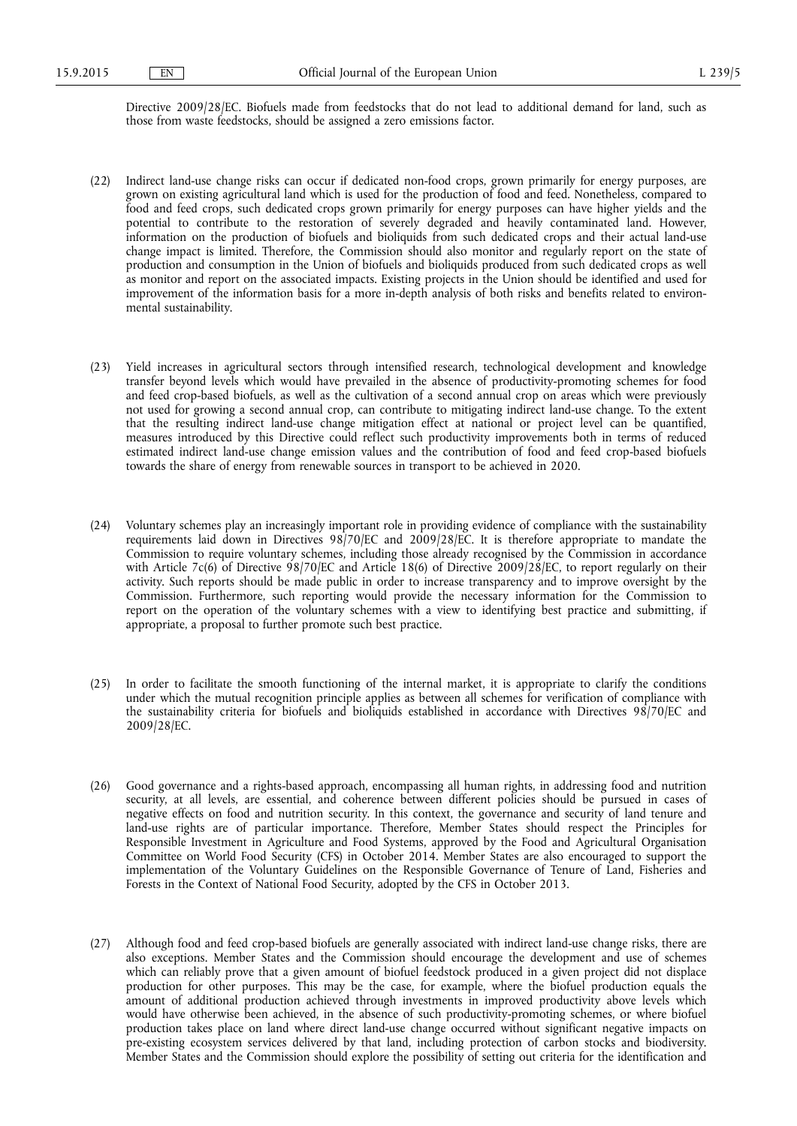Directive 2009/28/EC. Biofuels made from feedstocks that do not lead to additional demand for land, such as those from waste feedstocks, should be assigned a zero emissions factor.

- (22) Indirect land-use change risks can occur if dedicated non-food crops, grown primarily for energy purposes, are grown on existing agricultural land which is used for the production of food and feed. Nonetheless, compared to food and feed crops, such dedicated crops grown primarily for energy purposes can have higher yields and the potential to contribute to the restoration of severely degraded and heavily contaminated land. However, information on the production of biofuels and bioliquids from such dedicated crops and their actual land-use change impact is limited. Therefore, the Commission should also monitor and regularly report on the state of production and consumption in the Union of biofuels and bioliquids produced from such dedicated crops as well as monitor and report on the associated impacts. Existing projects in the Union should be identified and used for improvement of the information basis for a more in-depth analysis of both risks and benefits related to environmental sustainability.
- (23) Yield increases in agricultural sectors through intensified research, technological development and knowledge transfer beyond levels which would have prevailed in the absence of productivity-promoting schemes for food and feed crop-based biofuels, as well as the cultivation of a second annual crop on areas which were previously not used for growing a second annual crop, can contribute to mitigating indirect land-use change. To the extent that the resulting indirect land-use change mitigation effect at national or project level can be quantified, measures introduced by this Directive could reflect such productivity improvements both in terms of reduced estimated indirect land-use change emission values and the contribution of food and feed crop-based biofuels towards the share of energy from renewable sources in transport to be achieved in 2020.
- (24) Voluntary schemes play an increasingly important role in providing evidence of compliance with the sustainability requirements laid down in Directives 98/70/EC and 2009/28/EC. It is therefore appropriate to mandate the Commission to require voluntary schemes, including those already recognised by the Commission in accordance with Article 7c(6) of Directive 98/70/EC and Article 18(6) of Directive 2009/28/EC, to report regularly on their activity. Such reports should be made public in order to increase transparency and to improve oversight by the Commission. Furthermore, such reporting would provide the necessary information for the Commission to report on the operation of the voluntary schemes with a view to identifying best practice and submitting, if appropriate, a proposal to further promote such best practice.
- (25) In order to facilitate the smooth functioning of the internal market, it is appropriate to clarify the conditions under which the mutual recognition principle applies as between all schemes for verification of compliance with the sustainability criteria for biofuels and bioliquids established in accordance with Directives 98/70/EC and 2009/28/EC.
- (26) Good governance and a rights-based approach, encompassing all human rights, in addressing food and nutrition security, at all levels, are essential, and coherence between different policies should be pursued in cases of negative effects on food and nutrition security. In this context, the governance and security of land tenure and land-use rights are of particular importance. Therefore, Member States should respect the Principles for Responsible Investment in Agriculture and Food Systems, approved by the Food and Agricultural Organisation Committee on World Food Security (CFS) in October 2014. Member States are also encouraged to support the implementation of the Voluntary Guidelines on the Responsible Governance of Tenure of Land, Fisheries and Forests in the Context of National Food Security, adopted by the CFS in October 2013.
- (27) Although food and feed crop-based biofuels are generally associated with indirect land-use change risks, there are also exceptions. Member States and the Commission should encourage the development and use of schemes which can reliably prove that a given amount of biofuel feedstock produced in a given project did not displace production for other purposes. This may be the case, for example, where the biofuel production equals the amount of additional production achieved through investments in improved productivity above levels which would have otherwise been achieved, in the absence of such productivity-promoting schemes, or where biofuel production takes place on land where direct land-use change occurred without significant negative impacts on pre-existing ecosystem services delivered by that land, including protection of carbon stocks and biodiversity. Member States and the Commission should explore the possibility of setting out criteria for the identification and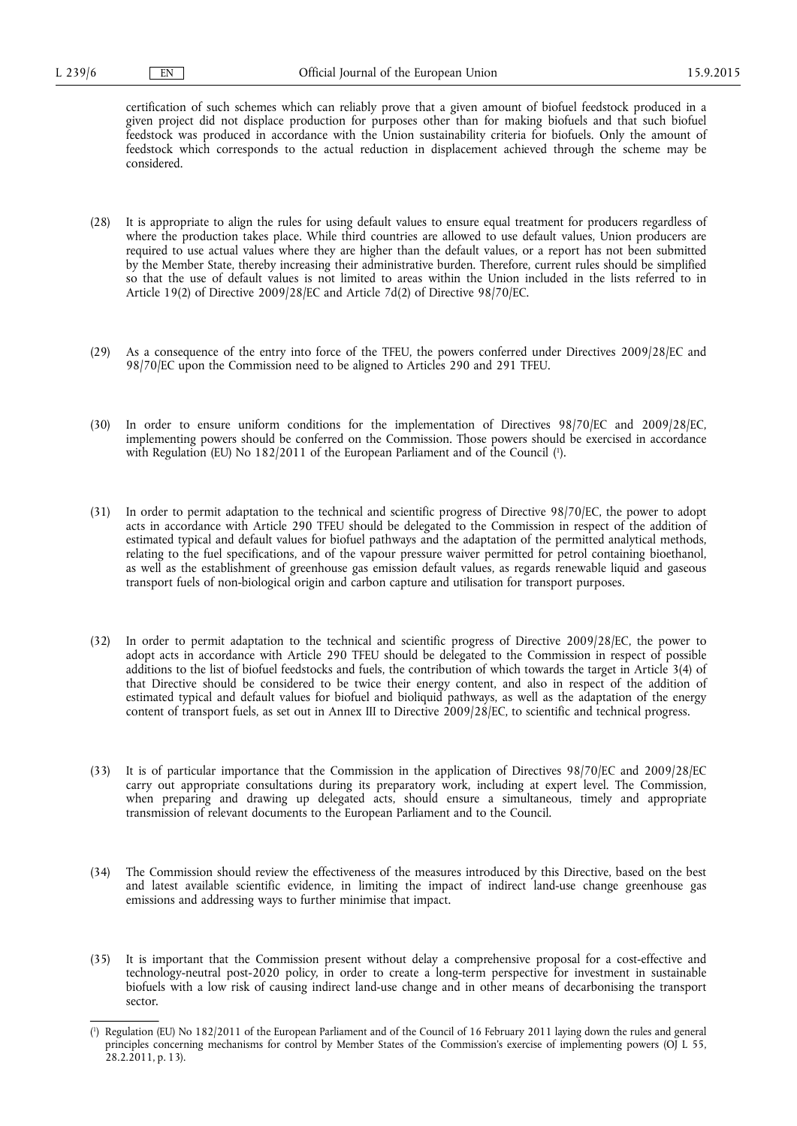certification of such schemes which can reliably prove that a given amount of biofuel feedstock produced in a given project did not displace production for purposes other than for making biofuels and that such biofuel feedstock was produced in accordance with the Union sustainability criteria for biofuels. Only the amount of feedstock which corresponds to the actual reduction in displacement achieved through the scheme may be considered.

- (28) It is appropriate to align the rules for using default values to ensure equal treatment for producers regardless of where the production takes place. While third countries are allowed to use default values, Union producers are required to use actual values where they are higher than the default values, or a report has not been submitted by the Member State, thereby increasing their administrative burden. Therefore, current rules should be simplified so that the use of default values is not limited to areas within the Union included in the lists referred to in Article 19(2) of Directive 2009/28/EC and Article 7d(2) of Directive 98/70/EC.
- (29) As a consequence of the entry into force of the TFEU, the powers conferred under Directives 2009/28/EC and 98/70/EC upon the Commission need to be aligned to Articles 290 and 291 TFEU.
- (30) In order to ensure uniform conditions for the implementation of Directives 98/70/EC and 2009/28/EC, implementing powers should be conferred on the Commission. Those powers should be exercised in accordance with Regulation (EU) No 182/2011 of the European Parliament and of the Council ( 1 ).
- (31) In order to permit adaptation to the technical and scientific progress of Directive 98/70/EC, the power to adopt acts in accordance with Article 290 TFEU should be delegated to the Commission in respect of the addition of estimated typical and default values for biofuel pathways and the adaptation of the permitted analytical methods, relating to the fuel specifications, and of the vapour pressure waiver permitted for petrol containing bioethanol, as well as the establishment of greenhouse gas emission default values, as regards renewable liquid and gaseous transport fuels of non-biological origin and carbon capture and utilisation for transport purposes.
- (32) In order to permit adaptation to the technical and scientific progress of Directive 2009/28/EC, the power to adopt acts in accordance with Article 290 TFEU should be delegated to the Commission in respect of possible additions to the list of biofuel feedstocks and fuels, the contribution of which towards the target in Article 3(4) of that Directive should be considered to be twice their energy content, and also in respect of the addition of estimated typical and default values for biofuel and bioliquid pathways, as well as the adaptation of the energy content of transport fuels, as set out in Annex III to Directive 2009/28/EC, to scientific and technical progress.
- (33) It is of particular importance that the Commission in the application of Directives 98/70/EC and 2009/28/EC carry out appropriate consultations during its preparatory work, including at expert level. The Commission, when preparing and drawing up delegated acts, should ensure a simultaneous, timely and appropriate transmission of relevant documents to the European Parliament and to the Council.
- (34) The Commission should review the effectiveness of the measures introduced by this Directive, based on the best and latest available scientific evidence, in limiting the impact of indirect land-use change greenhouse gas emissions and addressing ways to further minimise that impact.
- (35) It is important that the Commission present without delay a comprehensive proposal for a cost-effective and technology-neutral post-2020 policy, in order to create a long-term perspective for investment in sustainable biofuels with a low risk of causing indirect land-use change and in other means of decarbonising the transport sector.

<sup>(</sup> 1 ) Regulation (EU) No 182/2011 of the European Parliament and of the Council of 16 February 2011 laying down the rules and general principles concerning mechanisms for control by Member States of the Commission's exercise of implementing powers (OJ L 55, 28.2.2011, p. 13).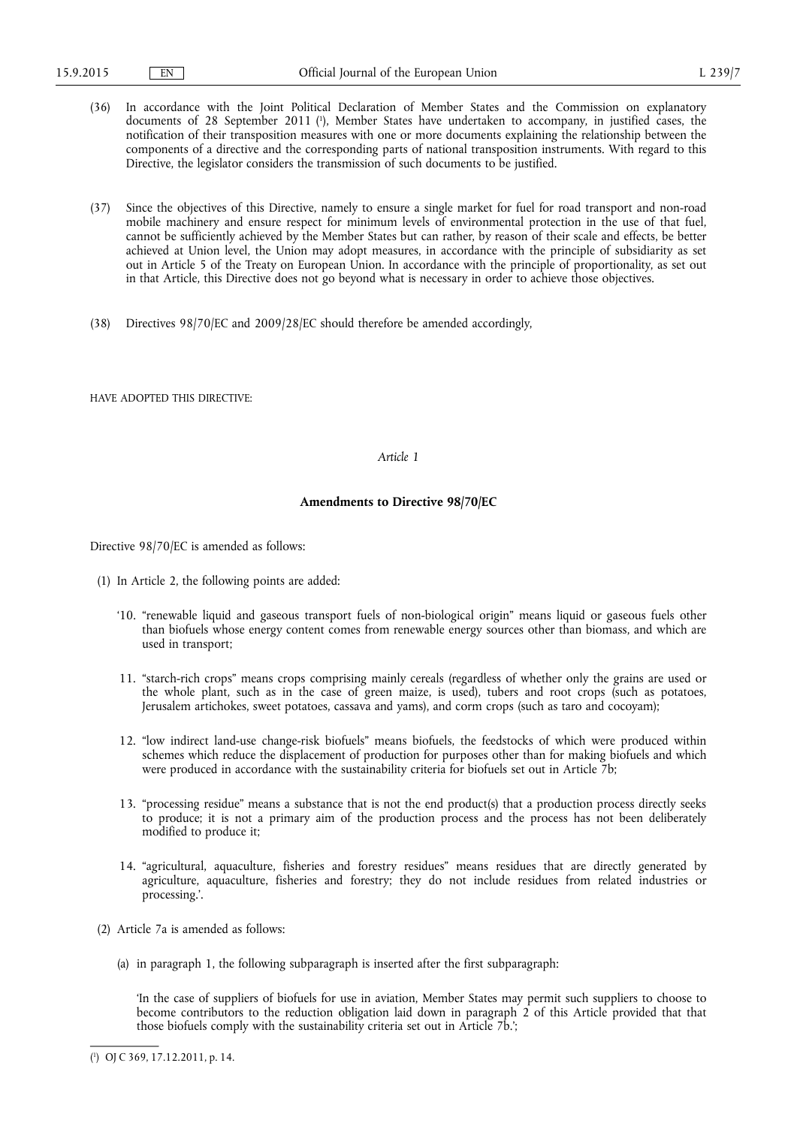- (36) In accordance with the Joint Political Declaration of Member States and the Commission on explanatory documents of 28 September 2011 ( 1 ), Member States have undertaken to accompany, in justified cases, the notification of their transposition measures with one or more documents explaining the relationship between the components of a directive and the corresponding parts of national transposition instruments. With regard to this Directive, the legislator considers the transmission of such documents to be justified.
- (37) Since the objectives of this Directive, namely to ensure a single market for fuel for road transport and non-road mobile machinery and ensure respect for minimum levels of environmental protection in the use of that fuel, cannot be sufficiently achieved by the Member States but can rather, by reason of their scale and effects, be better achieved at Union level, the Union may adopt measures, in accordance with the principle of subsidiarity as set out in Article 5 of the Treaty on European Union. In accordance with the principle of proportionality, as set out in that Article, this Directive does not go beyond what is necessary in order to achieve those objectives.
- (38) Directives 98/70/EC and 2009/28/EC should therefore be amended accordingly,

HAVE ADOPTED THIS DIRECTIVE:

### *Article 1*

### **Amendments to Directive 98/70/EC**

Directive 98/70/EC is amended as follows:

- (1) In Article 2, the following points are added:
	- '10. "renewable liquid and gaseous transport fuels of non-biological origin" means liquid or gaseous fuels other than biofuels whose energy content comes from renewable energy sources other than biomass, and which are used in transport;
	- 11. "starch-rich crops" means crops comprising mainly cereals (regardless of whether only the grains are used or the whole plant, such as in the case of green maize, is used), tubers and root crops (such as potatoes, Jerusalem artichokes, sweet potatoes, cassava and yams), and corm crops (such as taro and cocoyam);
	- 12. "low indirect land-use change-risk biofuels" means biofuels, the feedstocks of which were produced within schemes which reduce the displacement of production for purposes other than for making biofuels and which were produced in accordance with the sustainability criteria for biofuels set out in Article 7b;
	- 13. "processing residue" means a substance that is not the end product(s) that a production process directly seeks to produce; it is not a primary aim of the production process and the process has not been deliberately modified to produce it;
	- 14. "agricultural, aquaculture, fisheries and forestry residues" means residues that are directly generated by agriculture, aquaculture, fisheries and forestry; they do not include residues from related industries or processing.'.
- (2) Article 7a is amended as follows:
	- (a) in paragraph 1, the following subparagraph is inserted after the first subparagraph:

'In the case of suppliers of biofuels for use in aviation, Member States may permit such suppliers to choose to become contributors to the reduction obligation laid down in paragraph 2 of this Article provided that that those biofuels comply with the sustainability criteria set out in Article 7b.';

<sup>(</sup> 1 ) OJ C 369, 17.12.2011, p. 14.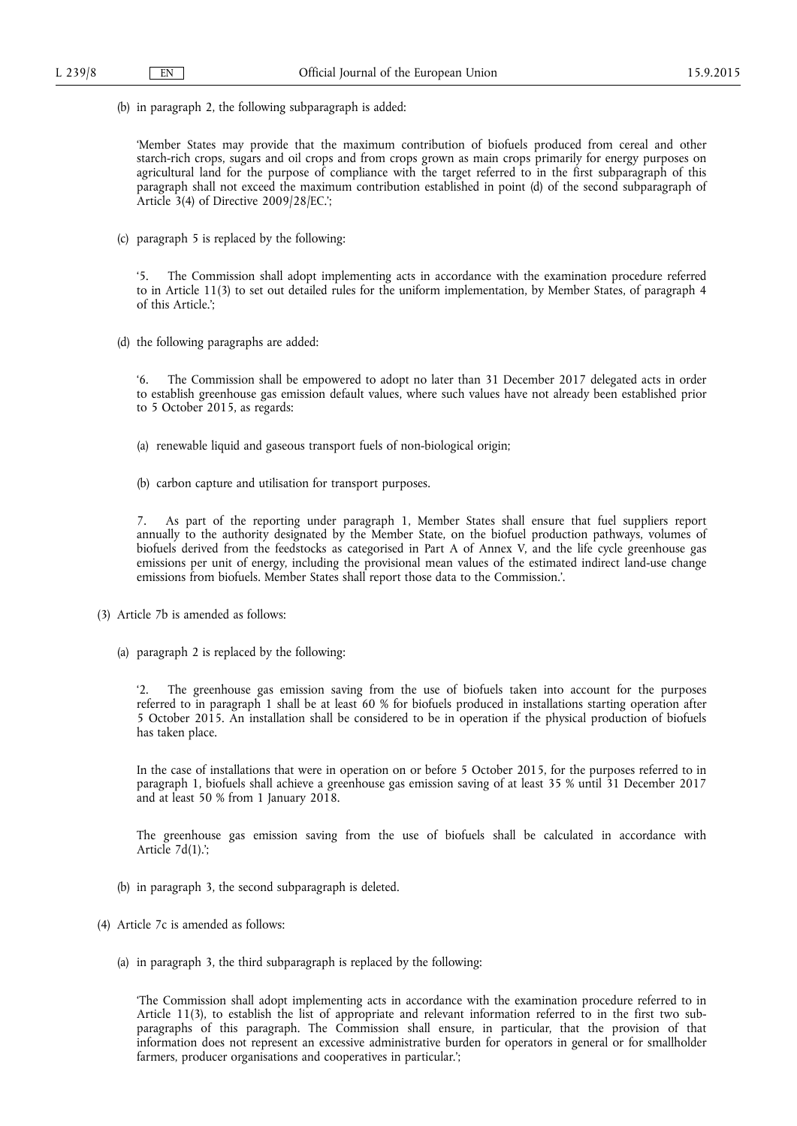(b) in paragraph 2, the following subparagraph is added:

'Member States may provide that the maximum contribution of biofuels produced from cereal and other starch-rich crops, sugars and oil crops and from crops grown as main crops primarily for energy purposes on agricultural land for the purpose of compliance with the target referred to in the first subparagraph of this paragraph shall not exceed the maximum contribution established in point (d) of the second subparagraph of Article 3(4) of Directive 2009/28/EC.';

(c) paragraph 5 is replaced by the following:

The Commission shall adopt implementing acts in accordance with the examination procedure referred to in Article 11(3) to set out detailed rules for the uniform implementation, by Member States, of paragraph 4 of this Article.';

(d) the following paragraphs are added:

'6. The Commission shall be empowered to adopt no later than 31 December 2017 delegated acts in order to establish greenhouse gas emission default values, where such values have not already been established prior to 5 October 2015, as regards:

- (a) renewable liquid and gaseous transport fuels of non-biological origin;
- (b) carbon capture and utilisation for transport purposes.

7. As part of the reporting under paragraph 1, Member States shall ensure that fuel suppliers report annually to the authority designated by the Member State, on the biofuel production pathways, volumes of biofuels derived from the feedstocks as categorised in Part A of Annex V, and the life cycle greenhouse gas emissions per unit of energy, including the provisional mean values of the estimated indirect land-use change emissions from biofuels. Member States shall report those data to the Commission.'.

- (3) Article 7b is amended as follows:
	- (a) paragraph 2 is replaced by the following:

The greenhouse gas emission saving from the use of biofuels taken into account for the purposes referred to in paragraph 1 shall be at least 60 % for biofuels produced in installations starting operation after 5 October 2015. An installation shall be considered to be in operation if the physical production of biofuels has taken place.

In the case of installations that were in operation on or before 5 October 2015, for the purposes referred to in paragraph 1, biofuels shall achieve a greenhouse gas emission saving of at least 35 % until 31 December 2017 and at least 50 % from 1 January 2018.

The greenhouse gas emission saving from the use of biofuels shall be calculated in accordance with Article  $7d(1)$ .';

- (b) in paragraph 3, the second subparagraph is deleted.
- (4) Article 7c is amended as follows:
	- (a) in paragraph 3, the third subparagraph is replaced by the following:

'The Commission shall adopt implementing acts in accordance with the examination procedure referred to in Article 11(3), to establish the list of appropriate and relevant information referred to in the first two subparagraphs of this paragraph. The Commission shall ensure, in particular, that the provision of that information does not represent an excessive administrative burden for operators in general or for smallholder farmers, producer organisations and cooperatives in particular.';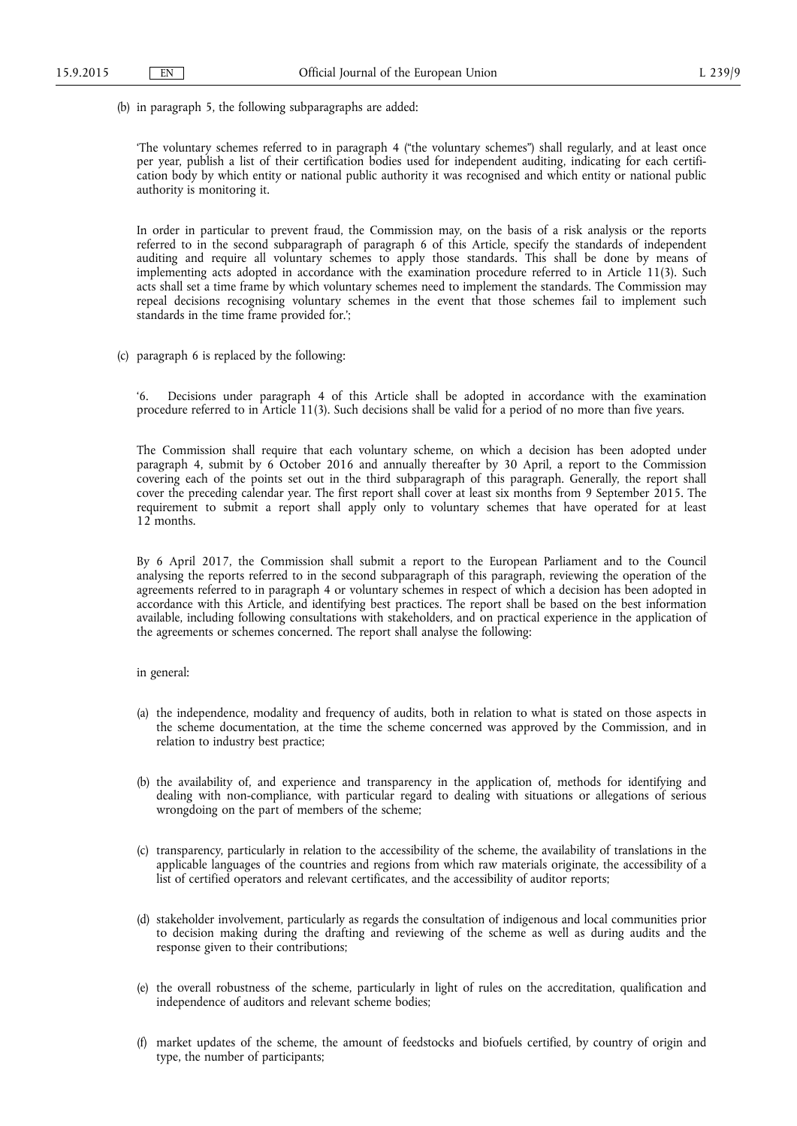(b) in paragraph 5, the following subparagraphs are added:

'The voluntary schemes referred to in paragraph 4 ("the voluntary schemes") shall regularly, and at least once per year, publish a list of their certification bodies used for independent auditing, indicating for each certification body by which entity or national public authority it was recognised and which entity or national public authority is monitoring it.

In order in particular to prevent fraud, the Commission may, on the basis of a risk analysis or the reports referred to in the second subparagraph of paragraph 6 of this Article, specify the standards of independent auditing and require all voluntary schemes to apply those standards. This shall be done by means of implementing acts adopted in accordance with the examination procedure referred to in Article 11(3). Such acts shall set a time frame by which voluntary schemes need to implement the standards. The Commission may repeal decisions recognising voluntary schemes in the event that those schemes fail to implement such standards in the time frame provided for.';

(c) paragraph 6 is replaced by the following:

Decisions under paragraph 4 of this Article shall be adopted in accordance with the examination procedure referred to in Article 11(3). Such decisions shall be valid for a period of no more than five years.

The Commission shall require that each voluntary scheme, on which a decision has been adopted under paragraph 4, submit by 6 October 2016 and annually thereafter by 30 April, a report to the Commission covering each of the points set out in the third subparagraph of this paragraph. Generally, the report shall cover the preceding calendar year. The first report shall cover at least six months from 9 September 2015. The requirement to submit a report shall apply only to voluntary schemes that have operated for at least 12 months.

By 6 April 2017, the Commission shall submit a report to the European Parliament and to the Council analysing the reports referred to in the second subparagraph of this paragraph, reviewing the operation of the agreements referred to in paragraph 4 or voluntary schemes in respect of which a decision has been adopted in accordance with this Article, and identifying best practices. The report shall be based on the best information available, including following consultations with stakeholders, and on practical experience in the application of the agreements or schemes concerned. The report shall analyse the following:

## in general:

- (a) the independence, modality and frequency of audits, both in relation to what is stated on those aspects in the scheme documentation, at the time the scheme concerned was approved by the Commission, and in relation to industry best practice;
- (b) the availability of, and experience and transparency in the application of, methods for identifying and dealing with non-compliance, with particular regard to dealing with situations or allegations of serious wrongdoing on the part of members of the scheme;
- (c) transparency, particularly in relation to the accessibility of the scheme, the availability of translations in the applicable languages of the countries and regions from which raw materials originate, the accessibility of a list of certified operators and relevant certificates, and the accessibility of auditor reports;
- (d) stakeholder involvement, particularly as regards the consultation of indigenous and local communities prior to decision making during the drafting and reviewing of the scheme as well as during audits and the response given to their contributions;
- (e) the overall robustness of the scheme, particularly in light of rules on the accreditation, qualification and independence of auditors and relevant scheme bodies;
- (f) market updates of the scheme, the amount of feedstocks and biofuels certified, by country of origin and type, the number of participants;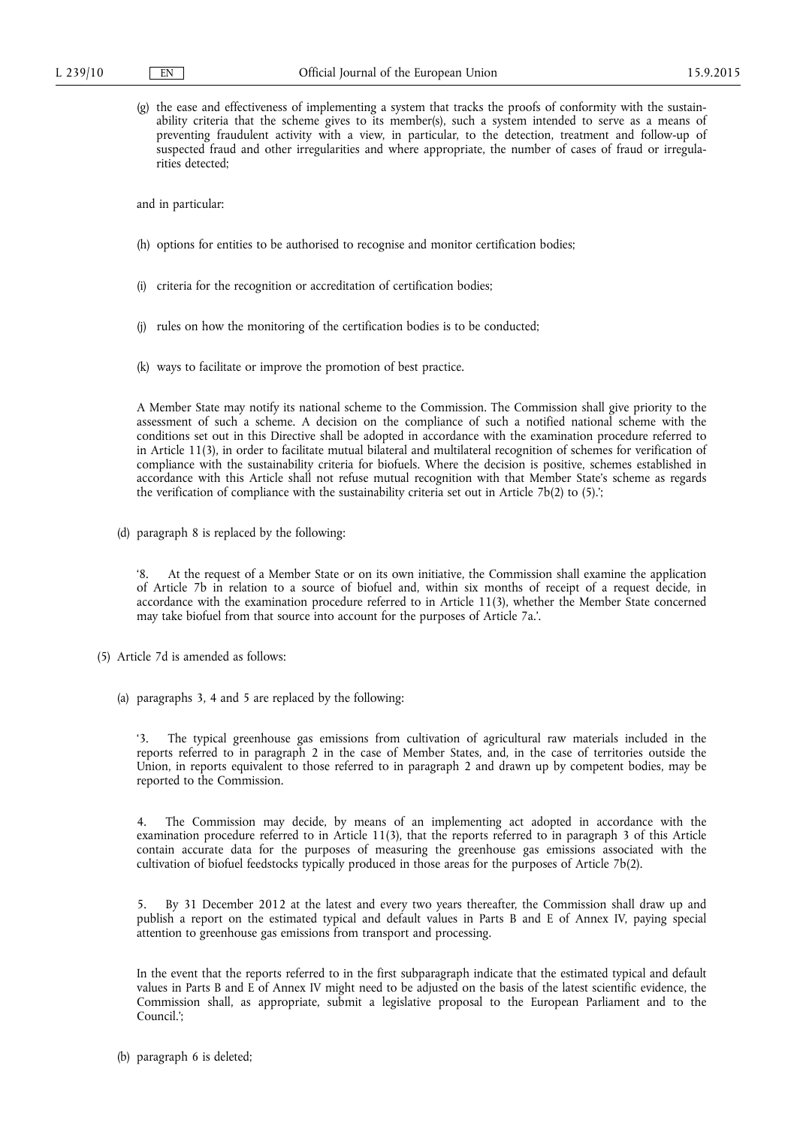(g) the ease and effectiveness of implementing a system that tracks the proofs of conformity with the sustainability criteria that the scheme gives to its member(s), such a system intended to serve as a means of preventing fraudulent activity with a view, in particular, to the detection, treatment and follow-up of suspected fraud and other irregularities and where appropriate, the number of cases of fraud or irregularities detected;

and in particular:

- (h) options for entities to be authorised to recognise and monitor certification bodies;
- (i) criteria for the recognition or accreditation of certification bodies;
- (j) rules on how the monitoring of the certification bodies is to be conducted;
- (k) ways to facilitate or improve the promotion of best practice.

A Member State may notify its national scheme to the Commission. The Commission shall give priority to the assessment of such a scheme. A decision on the compliance of such a notified national scheme with the conditions set out in this Directive shall be adopted in accordance with the examination procedure referred to in Article 11(3), in order to facilitate mutual bilateral and multilateral recognition of schemes for verification of compliance with the sustainability criteria for biofuels. Where the decision is positive, schemes established in accordance with this Article shall not refuse mutual recognition with that Member State's scheme as regards the verification of compliance with the sustainability criteria set out in Article 7b(2) to (5).';

(d) paragraph 8 is replaced by the following:

'8. At the request of a Member State or on its own initiative, the Commission shall examine the application of Article 7b in relation to a source of biofuel and, within six months of receipt of a request decide, in accordance with the examination procedure referred to in Article 11(3), whether the Member State concerned may take biofuel from that source into account for the purposes of Article 7a.'.

- (5) Article 7d is amended as follows:
	- (a) paragraphs 3, 4 and 5 are replaced by the following:

The typical greenhouse gas emissions from cultivation of agricultural raw materials included in the reports referred to in paragraph 2 in the case of Member States, and, in the case of territories outside the Union, in reports equivalent to those referred to in paragraph 2 and drawn up by competent bodies, may be reported to the Commission.

4. The Commission may decide, by means of an implementing act adopted in accordance with the examination procedure referred to in Article 11(3), that the reports referred to in paragraph 3 of this Article contain accurate data for the purposes of measuring the greenhouse gas emissions associated with the cultivation of biofuel feedstocks typically produced in those areas for the purposes of Article 7b(2).

5. By 31 December 2012 at the latest and every two years thereafter, the Commission shall draw up and publish a report on the estimated typical and default values in Parts B and E of Annex IV, paying special attention to greenhouse gas emissions from transport and processing.

In the event that the reports referred to in the first subparagraph indicate that the estimated typical and default values in Parts B and E of Annex IV might need to be adjusted on the basis of the latest scientific evidence, the Commission shall, as appropriate, submit a legislative proposal to the European Parliament and to the Council.';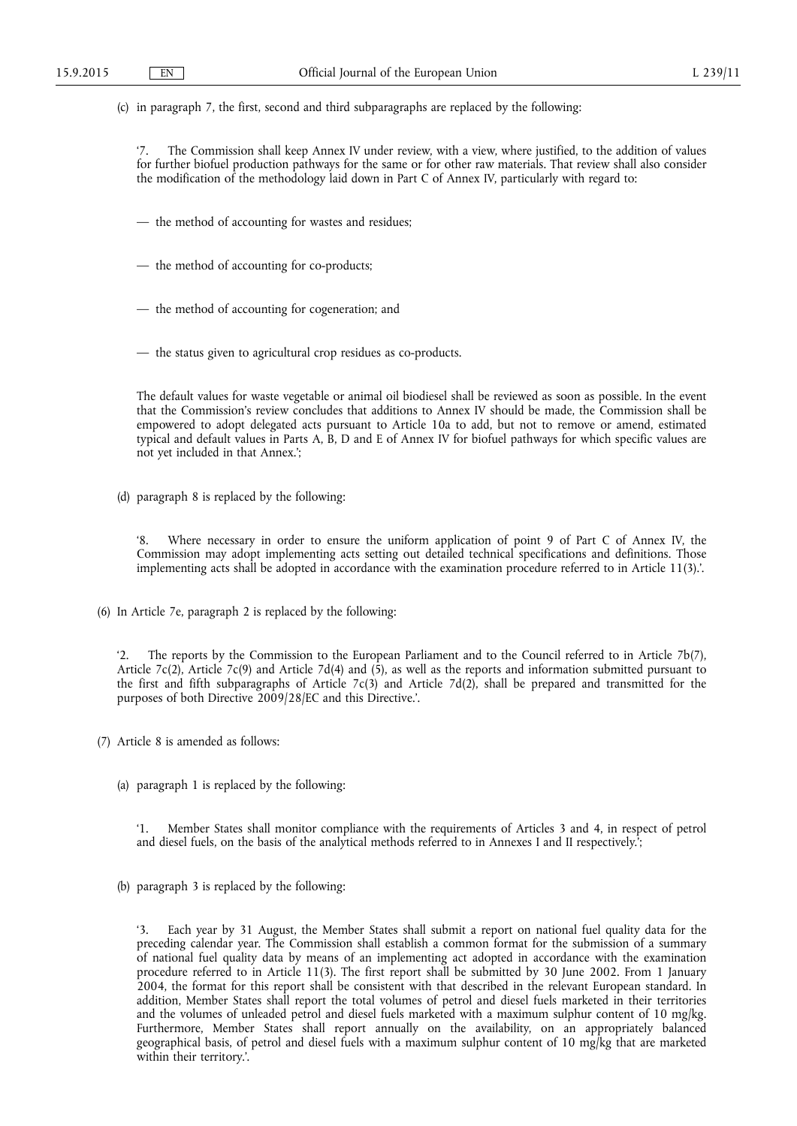(c) in paragraph 7, the first, second and third subparagraphs are replaced by the following:

The Commission shall keep Annex IV under review, with a view, where justified, to the addition of values for further biofuel production pathways for the same or for other raw materials. That review shall also consider the modification of the methodology laid down in Part C of Annex IV, particularly with regard to:

- the method of accounting for wastes and residues;
- the method of accounting for co-products;
- the method of accounting for cogeneration; and
- the status given to agricultural crop residues as co-products.

The default values for waste vegetable or animal oil biodiesel shall be reviewed as soon as possible. In the event that the Commission's review concludes that additions to Annex IV should be made, the Commission shall be empowered to adopt delegated acts pursuant to Article 10a to add, but not to remove or amend, estimated typical and default values in Parts A, B, D and E of Annex IV for biofuel pathways for which specific values are not yet included in that Annex.';

(d) paragraph 8 is replaced by the following:

Where necessary in order to ensure the uniform application of point 9 of Part C of Annex IV, the Commission may adopt implementing acts setting out detailed technical specifications and definitions. Those implementing acts shall be adopted in accordance with the examination procedure referred to in Article 11(3).'.

(6) In Article 7e, paragraph 2 is replaced by the following:

'2. The reports by the Commission to the European Parliament and to the Council referred to in Article 7b(7), Article 7c(2), Article 7c(9) and Article 7d(4) and (5), as well as the reports and information submitted pursuant to the first and fifth subparagraphs of Article 7c(3) and Article 7d(2), shall be prepared and transmitted for the purposes of both Directive 2009/28/EC and this Directive.'.

- (7) Article 8 is amended as follows:
	- (a) paragraph 1 is replaced by the following:

'1. Member States shall monitor compliance with the requirements of Articles 3 and 4, in respect of petrol and diesel fuels, on the basis of the analytical methods referred to in Annexes I and II respectively.';

(b) paragraph 3 is replaced by the following:

Each year by 31 August, the Member States shall submit a report on national fuel quality data for the preceding calendar year. The Commission shall establish a common format for the submission of a summary of national fuel quality data by means of an implementing act adopted in accordance with the examination procedure referred to in Article 11(3). The first report shall be submitted by 30 June 2002. From 1 January 2004, the format for this report shall be consistent with that described in the relevant European standard. In addition, Member States shall report the total volumes of petrol and diesel fuels marketed in their territories and the volumes of unleaded petrol and diesel fuels marketed with a maximum sulphur content of 10 mg/kg. Furthermore, Member States shall report annually on the availability, on an appropriately balanced geographical basis, of petrol and diesel fuels with a maximum sulphur content of 10 mg/kg that are marketed within their territory.'.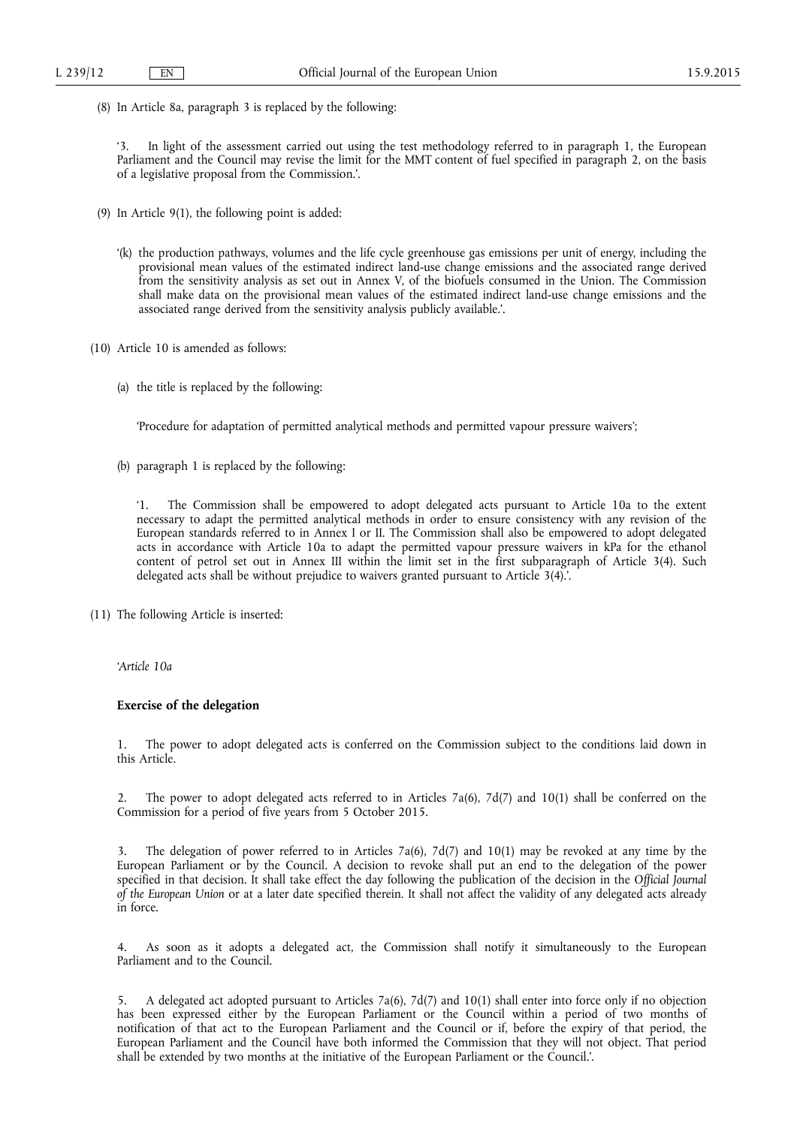(8) In Article 8a, paragraph 3 is replaced by the following:

In light of the assessment carried out using the test methodology referred to in paragraph 1, the European Parliament and the Council may revise the limit for the MMT content of fuel specified in paragraph 2, on the basis of a legislative proposal from the Commission.'.

- (9) In Article 9(1), the following point is added:
	- '(k) the production pathways, volumes and the life cycle greenhouse gas emissions per unit of energy, including the provisional mean values of the estimated indirect land-use change emissions and the associated range derived from the sensitivity analysis as set out in Annex V, of the biofuels consumed in the Union. The Commission shall make data on the provisional mean values of the estimated indirect land-use change emissions and the associated range derived from the sensitivity analysis publicly available.'.
- (10) Article 10 is amended as follows:
	- (a) the title is replaced by the following:

'Procedure for adaptation of permitted analytical methods and permitted vapour pressure waivers';

(b) paragraph 1 is replaced by the following:

'1. The Commission shall be empowered to adopt delegated acts pursuant to Article 10a to the extent necessary to adapt the permitted analytical methods in order to ensure consistency with any revision of the European standards referred to in Annex I or II. The Commission shall also be empowered to adopt delegated acts in accordance with Article 10a to adapt the permitted vapour pressure waivers in kPa for the ethanol content of petrol set out in Annex III within the limit set in the first subparagraph of Article 3(4). Such delegated acts shall be without prejudice to waivers granted pursuant to Article 3(4).'.

(11) The following Article is inserted:

## *'Article 10a*

## **Exercise of the delegation**

1. The power to adopt delegated acts is conferred on the Commission subject to the conditions laid down in this Article.

2. The power to adopt delegated acts referred to in Articles 7a(6), 7d(7) and 10(1) shall be conferred on the Commission for a period of five years from 5 October 2015.

3. The delegation of power referred to in Articles 7a(6), 7d(7) and 10(1) may be revoked at any time by the European Parliament or by the Council. A decision to revoke shall put an end to the delegation of the power specified in that decision. It shall take effect the day following the publication of the decision in the *Official Journal of the European Union* or at a later date specified therein. It shall not affect the validity of any delegated acts already in force.

4. As soon as it adopts a delegated act, the Commission shall notify it simultaneously to the European Parliament and to the Council.

5. A delegated act adopted pursuant to Articles 7a(6), 7d(7) and 10(1) shall enter into force only if no objection has been expressed either by the European Parliament or the Council within a period of two months of notification of that act to the European Parliament and the Council or if, before the expiry of that period, the European Parliament and the Council have both informed the Commission that they will not object. That period shall be extended by two months at the initiative of the European Parliament or the Council.'.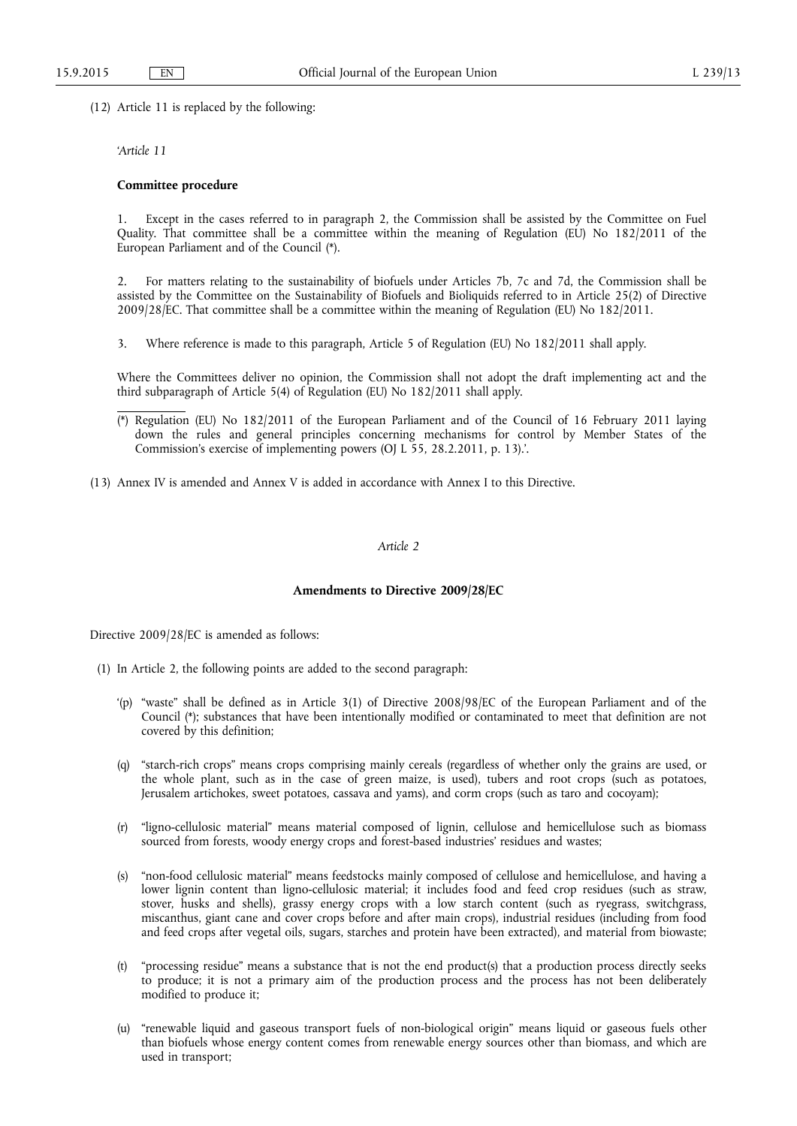(12) Article 11 is replaced by the following:

*'Article 11* 

## **Committee procedure**

1. Except in the cases referred to in paragraph 2, the Commission shall be assisted by the Committee on Fuel Quality. That committee shall be a committee within the meaning of Regulation (EU) No 182/2011 of the European Parliament and of the Council (\*).

2. For matters relating to the sustainability of biofuels under Articles 7b, 7c and 7d, the Commission shall be assisted by the Committee on the Sustainability of Biofuels and Bioliquids referred to in Article 25(2) of Directive 2009/28/EC. That committee shall be a committee within the meaning of Regulation (EU) No 182/2011.

3. Where reference is made to this paragraph, Article 5 of Regulation (EU) No 182/2011 shall apply.

Where the Committees deliver no opinion, the Commission shall not adopt the draft implementing act and the third subparagraph of Article 5(4) of Regulation (EU) No 182/2011 shall apply.

- Regulation (EU) No 182/2011 of the European Parliament and of the Council of 16 February 2011 laying down the rules and general principles concerning mechanisms for control by Member States of the Commission's exercise of implementing powers (OJ L 55, 28.2.2011, p. 13).'.
- (13) Annex IV is amended and Annex V is added in accordance with Annex I to this Directive.

## *Article 2*

#### **Amendments to Directive 2009/28/EC**

Directive 2009/28/EC is amended as follows:

- (1) In Article 2, the following points are added to the second paragraph:
	- '(p) "waste" shall be defined as in Article 3(1) of Directive 2008/98/EC of the European Parliament and of the Council (\*); substances that have been intentionally modified or contaminated to meet that definition are not covered by this definition;
	- (q) "starch-rich crops" means crops comprising mainly cereals (regardless of whether only the grains are used, or the whole plant, such as in the case of green maize, is used), tubers and root crops (such as potatoes, Jerusalem artichokes, sweet potatoes, cassava and yams), and corm crops (such as taro and cocoyam);
	- (r) "ligno-cellulosic material" means material composed of lignin, cellulose and hemicellulose such as biomass sourced from forests, woody energy crops and forest-based industries' residues and wastes;
	- (s) "non-food cellulosic material" means feedstocks mainly composed of cellulose and hemicellulose, and having a lower lignin content than ligno-cellulosic material; it includes food and feed crop residues (such as straw, stover, husks and shells), grassy energy crops with a low starch content (such as ryegrass, switchgrass, miscanthus, giant cane and cover crops before and after main crops), industrial residues (including from food and feed crops after vegetal oils, sugars, starches and protein have been extracted), and material from biowaste;
	- (t) "processing residue" means a substance that is not the end product(s) that a production process directly seeks to produce; it is not a primary aim of the production process and the process has not been deliberately modified to produce it;
	- (u) "renewable liquid and gaseous transport fuels of non-biological origin" means liquid or gaseous fuels other than biofuels whose energy content comes from renewable energy sources other than biomass, and which are used in transport;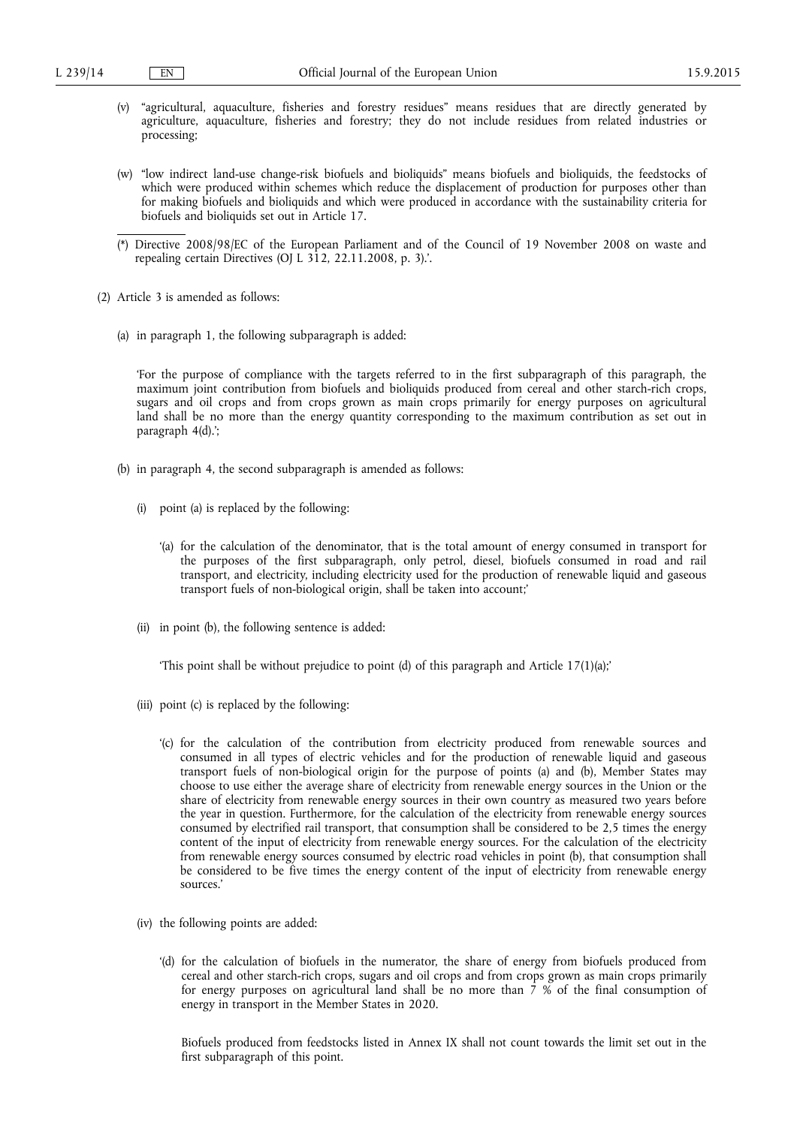- (v) "agricultural, aquaculture, fisheries and forestry residues" means residues that are directly generated by agriculture, aquaculture, fisheries and forestry; they do not include residues from related industries or processing;
- (w) "low indirect land-use change-risk biofuels and bioliquids" means biofuels and bioliquids, the feedstocks of which were produced within schemes which reduce the displacement of production for purposes other than for making biofuels and bioliquids and which were produced in accordance with the sustainability criteria for biofuels and bioliquids set out in Article 17.
- (\*) Directive 2008/98/EC of the European Parliament and of the Council of 19 November 2008 on waste and repealing certain Directives (OJ L  $3\overline{1}2$ , 22.11.2008, p. 3).'.
- (2) Article 3 is amended as follows:
	- (a) in paragraph 1, the following subparagraph is added:

'For the purpose of compliance with the targets referred to in the first subparagraph of this paragraph, the maximum joint contribution from biofuels and bioliquids produced from cereal and other starch-rich crops, sugars and oil crops and from crops grown as main crops primarily for energy purposes on agricultural land shall be no more than the energy quantity corresponding to the maximum contribution as set out in paragraph 4(d).';

- (b) in paragraph 4, the second subparagraph is amended as follows:
	- (i) point (a) is replaced by the following:
		- '(a) for the calculation of the denominator, that is the total amount of energy consumed in transport for the purposes of the first subparagraph, only petrol, diesel, biofuels consumed in road and rail transport, and electricity, including electricity used for the production of renewable liquid and gaseous transport fuels of non-biological origin, shall be taken into account;'
	- (ii) in point (b), the following sentence is added:

'This point shall be without prejudice to point (d) of this paragraph and Article 17(1)(a);'

- (iii) point (c) is replaced by the following:
	- '(c) for the calculation of the contribution from electricity produced from renewable sources and consumed in all types of electric vehicles and for the production of renewable liquid and gaseous transport fuels of non-biological origin for the purpose of points (a) and (b), Member States may choose to use either the average share of electricity from renewable energy sources in the Union or the share of electricity from renewable energy sources in their own country as measured two years before the year in question. Furthermore, for the calculation of the electricity from renewable energy sources consumed by electrified rail transport, that consumption shall be considered to be 2,5 times the energy content of the input of electricity from renewable energy sources. For the calculation of the electricity from renewable energy sources consumed by electric road vehicles in point (b), that consumption shall be considered to be five times the energy content of the input of electricity from renewable energy sources.'
- (iv) the following points are added:
	- '(d) for the calculation of biofuels in the numerator, the share of energy from biofuels produced from cereal and other starch-rich crops, sugars and oil crops and from crops grown as main crops primarily for energy purposes on agricultural land shall be no more than  $\frac{1}{2}$  % of the final consumption of energy in transport in the Member States in 2020.

Biofuels produced from feedstocks listed in Annex IX shall not count towards the limit set out in the first subparagraph of this point.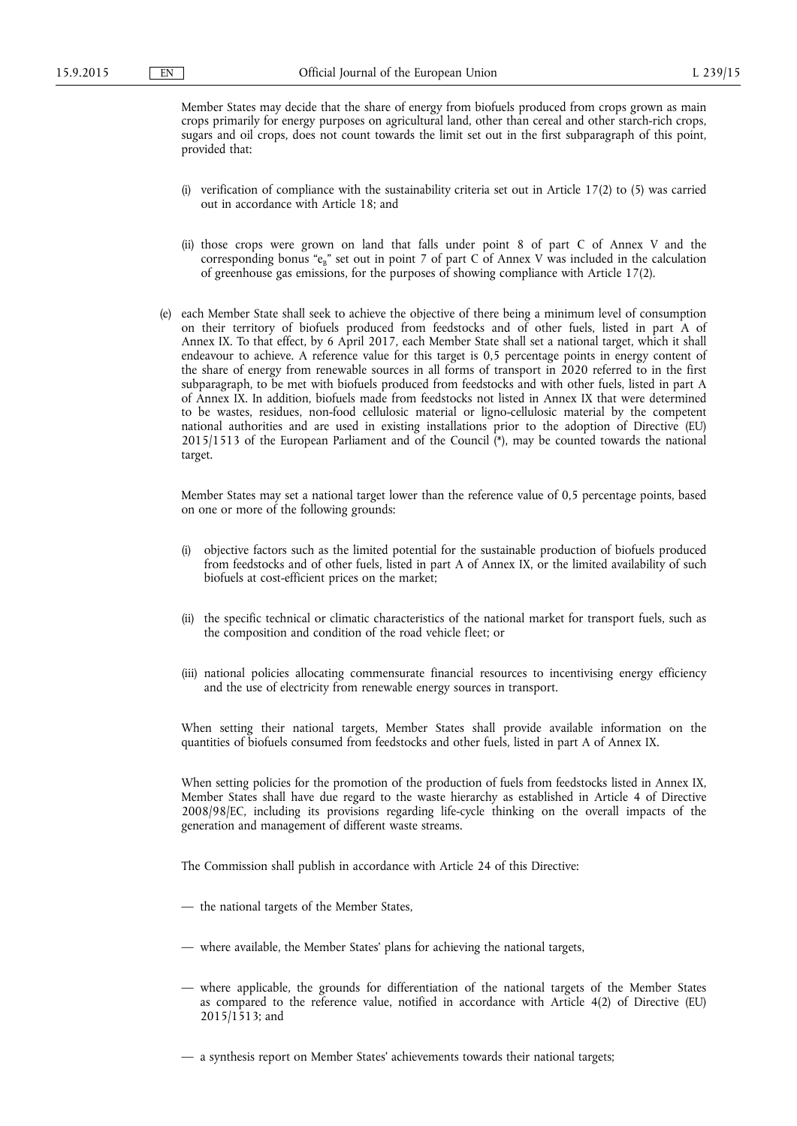Member States may decide that the share of energy from biofuels produced from crops grown as main crops primarily for energy purposes on agricultural land, other than cereal and other starch-rich crops, sugars and oil crops, does not count towards the limit set out in the first subparagraph of this point, provided that:

- (i) verification of compliance with the sustainability criteria set out in Article  $17(2)$  to (5) was carried out in accordance with Article 18; and
- (ii) those crops were grown on land that falls under point 8 of part C of Annex V and the corresponding bonus "e<sub>B</sub>" set out in point 7 of part C of Annex V was included in the calculation of greenhouse gas emissions, for the purposes of showing compliance with Article 17(2).
- (e) each Member State shall seek to achieve the objective of there being a minimum level of consumption on their territory of biofuels produced from feedstocks and of other fuels, listed in part A of Annex IX. To that effect, by 6 April 2017, each Member State shall set a national target, which it shall endeavour to achieve. A reference value for this target is 0,5 percentage points in energy content of the share of energy from renewable sources in all forms of transport in 2020 referred to in the first subparagraph, to be met with biofuels produced from feedstocks and with other fuels, listed in part A of Annex IX. In addition, biofuels made from feedstocks not listed in Annex IX that were determined to be wastes, residues, non-food cellulosic material or ligno-cellulosic material by the competent national authorities and are used in existing installations prior to the adoption of Directive (EU) 2015/1513 of the European Parliament and of the Council (\*), may be counted towards the national target.

Member States may set a national target lower than the reference value of 0,5 percentage points, based on one or more of the following grounds:

- (i) objective factors such as the limited potential for the sustainable production of biofuels produced from feedstocks and of other fuels, listed in part A of Annex IX, or the limited availability of such biofuels at cost-efficient prices on the market;
- (ii) the specific technical or climatic characteristics of the national market for transport fuels, such as the composition and condition of the road vehicle fleet; or
- (iii) national policies allocating commensurate financial resources to incentivising energy efficiency and the use of electricity from renewable energy sources in transport.

When setting their national targets, Member States shall provide available information on the quantities of biofuels consumed from feedstocks and other fuels, listed in part A of Annex IX.

When setting policies for the promotion of the production of fuels from feedstocks listed in Annex IX, Member States shall have due regard to the waste hierarchy as established in Article 4 of Directive 2008/98/EC, including its provisions regarding life-cycle thinking on the overall impacts of the generation and management of different waste streams.

The Commission shall publish in accordance with Article 24 of this Directive:

- the national targets of the Member States,
- where available, the Member States' plans for achieving the national targets,
- where applicable, the grounds for differentiation of the national targets of the Member States as compared to the reference value, notified in accordance with Article 4(2) of Directive (EU) 2015/1513; and
- a synthesis report on Member States' achievements towards their national targets;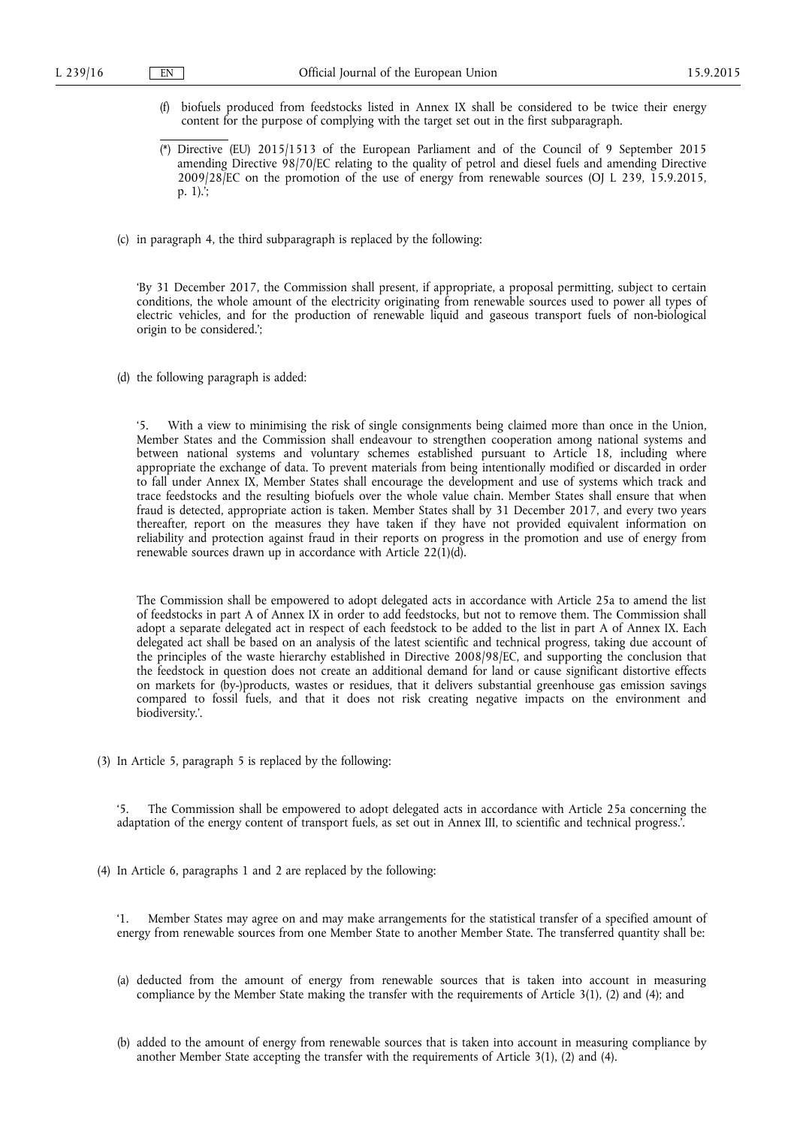- (f) biofuels produced from feedstocks listed in Annex IX shall be considered to be twice their energy content for the purpose of complying with the target set out in the first subparagraph.
- Directive (EU) 2015/1513 of the European Parliament and of the Council of 9 September 2015 amending Directive 98/70/EC relating to the quality of petrol and diesel fuels and amending Directive 2009/28/EC on the promotion of the use of energy from renewable sources (OJ L 239, 15.9.2015, p. 1).';
- (c) in paragraph 4, the third subparagraph is replaced by the following:

'By 31 December 2017, the Commission shall present, if appropriate, a proposal permitting, subject to certain conditions, the whole amount of the electricity originating from renewable sources used to power all types of electric vehicles, and for the production of renewable liquid and gaseous transport fuels of non-biological origin to be considered.';

(d) the following paragraph is added:

'5. With a view to minimising the risk of single consignments being claimed more than once in the Union, Member States and the Commission shall endeavour to strengthen cooperation among national systems and between national systems and voluntary schemes established pursuant to Article 18, including where appropriate the exchange of data. To prevent materials from being intentionally modified or discarded in order to fall under Annex IX, Member States shall encourage the development and use of systems which track and trace feedstocks and the resulting biofuels over the whole value chain. Member States shall ensure that when fraud is detected, appropriate action is taken. Member States shall by 31 December 2017, and every two years thereafter, report on the measures they have taken if they have not provided equivalent information on reliability and protection against fraud in their reports on progress in the promotion and use of energy from renewable sources drawn up in accordance with Article  $22(1)(d)$ .

The Commission shall be empowered to adopt delegated acts in accordance with Article 25a to amend the list of feedstocks in part A of Annex IX in order to add feedstocks, but not to remove them. The Commission shall adopt a separate delegated act in respect of each feedstock to be added to the list in part A of Annex IX. Each delegated act shall be based on an analysis of the latest scientific and technical progress, taking due account of the principles of the waste hierarchy established in Directive 2008/98/EC, and supporting the conclusion that the feedstock in question does not create an additional demand for land or cause significant distortive effects on markets for (by-)products, wastes or residues, that it delivers substantial greenhouse gas emission savings compared to fossil fuels, and that it does not risk creating negative impacts on the environment and biodiversity.'.

(3) In Article 5, paragraph 5 is replaced by the following:

The Commission shall be empowered to adopt delegated acts in accordance with Article 25a concerning the adaptation of the energy content of transport fuels, as set out in Annex III, to scientific and technical progress.'.

(4) In Article 6, paragraphs 1 and 2 are replaced by the following:

'1. Member States may agree on and may make arrangements for the statistical transfer of a specified amount of energy from renewable sources from one Member State to another Member State. The transferred quantity shall be:

- (a) deducted from the amount of energy from renewable sources that is taken into account in measuring compliance by the Member State making the transfer with the requirements of Article 3(1), (2) and (4); and
- (b) added to the amount of energy from renewable sources that is taken into account in measuring compliance by another Member State accepting the transfer with the requirements of Article 3(1), (2) and (4).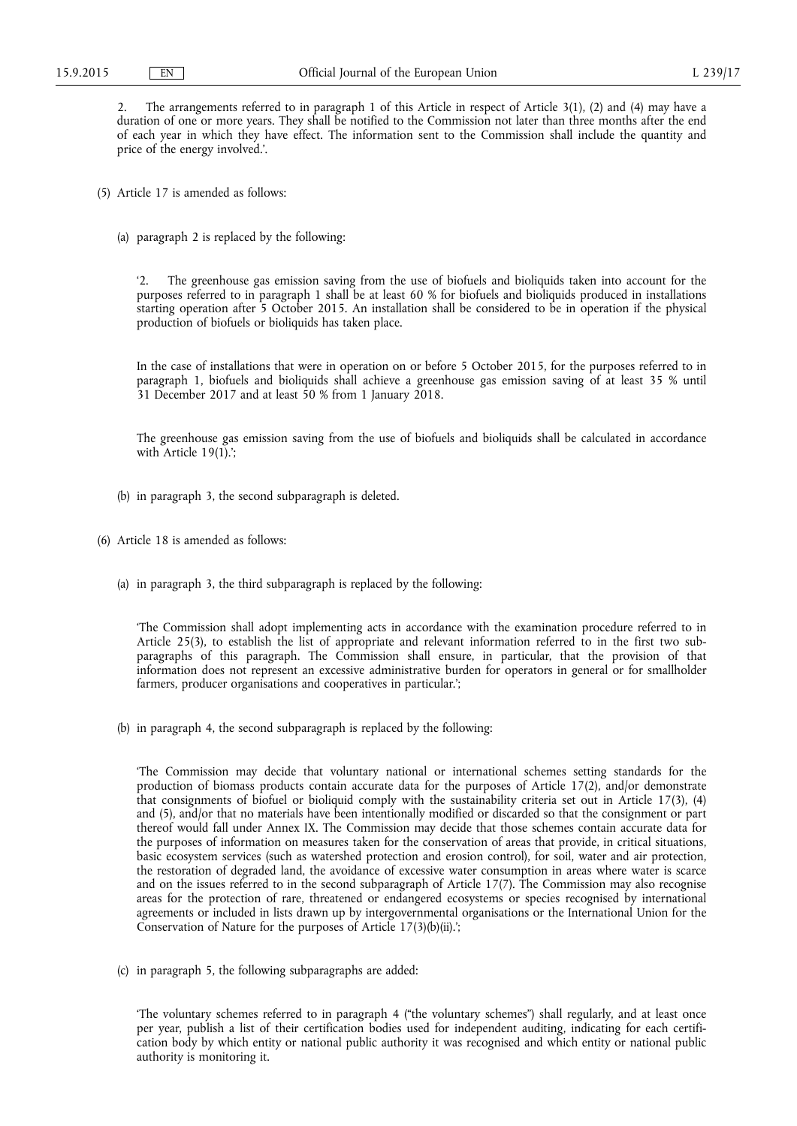2. The arrangements referred to in paragraph 1 of this Article in respect of Article 3(1), (2) and (4) may have a duration of one or more years. They shall be notified to the Commission not later than three months after the end of each year in which they have effect. The information sent to the Commission shall include the quantity and price of the energy involved.'.

- (5) Article 17 is amended as follows:
	- (a) paragraph 2 is replaced by the following:

'2. The greenhouse gas emission saving from the use of biofuels and bioliquids taken into account for the purposes referred to in paragraph 1 shall be at least 60 % for biofuels and bioliquids produced in installations starting operation after 5 October 2015. An installation shall be considered to be in operation if the physical production of biofuels or bioliquids has taken place.

In the case of installations that were in operation on or before 5 October 2015, for the purposes referred to in paragraph 1, biofuels and bioliquids shall achieve a greenhouse gas emission saving of at least 35 % until 31 December 2017 and at least 50 % from 1 January 2018.

The greenhouse gas emission saving from the use of biofuels and bioliquids shall be calculated in accordance with Article 19(1).';

- (b) in paragraph 3, the second subparagraph is deleted.
- (6) Article 18 is amended as follows:
	- (a) in paragraph 3, the third subparagraph is replaced by the following:

'The Commission shall adopt implementing acts in accordance with the examination procedure referred to in Article 25(3), to establish the list of appropriate and relevant information referred to in the first two subparagraphs of this paragraph. The Commission shall ensure, in particular, that the provision of that information does not represent an excessive administrative burden for operators in general or for smallholder farmers, producer organisations and cooperatives in particular.';

(b) in paragraph 4, the second subparagraph is replaced by the following:

'The Commission may decide that voluntary national or international schemes setting standards for the production of biomass products contain accurate data for the purposes of Article 17(2), and/or demonstrate that consignments of biofuel or bioliquid comply with the sustainability criteria set out in Article 17(3), (4) and (5), and/or that no materials have been intentionally modified or discarded so that the consignment or part thereof would fall under Annex IX. The Commission may decide that those schemes contain accurate data for the purposes of information on measures taken for the conservation of areas that provide, in critical situations, basic ecosystem services (such as watershed protection and erosion control), for soil, water and air protection, the restoration of degraded land, the avoidance of excessive water consumption in areas where water is scarce and on the issues referred to in the second subparagraph of Article 17(7). The Commission may also recognise areas for the protection of rare, threatened or endangered ecosystems or species recognised by international agreements or included in lists drawn up by intergovernmental organisations or the International Union for the Conservation of Nature for the purposes of Article 17(3)(b)(ii).';

(c) in paragraph 5, the following subparagraphs are added:

'The voluntary schemes referred to in paragraph 4 ("the voluntary schemes") shall regularly, and at least once per year, publish a list of their certification bodies used for independent auditing, indicating for each certification body by which entity or national public authority it was recognised and which entity or national public authority is monitoring it.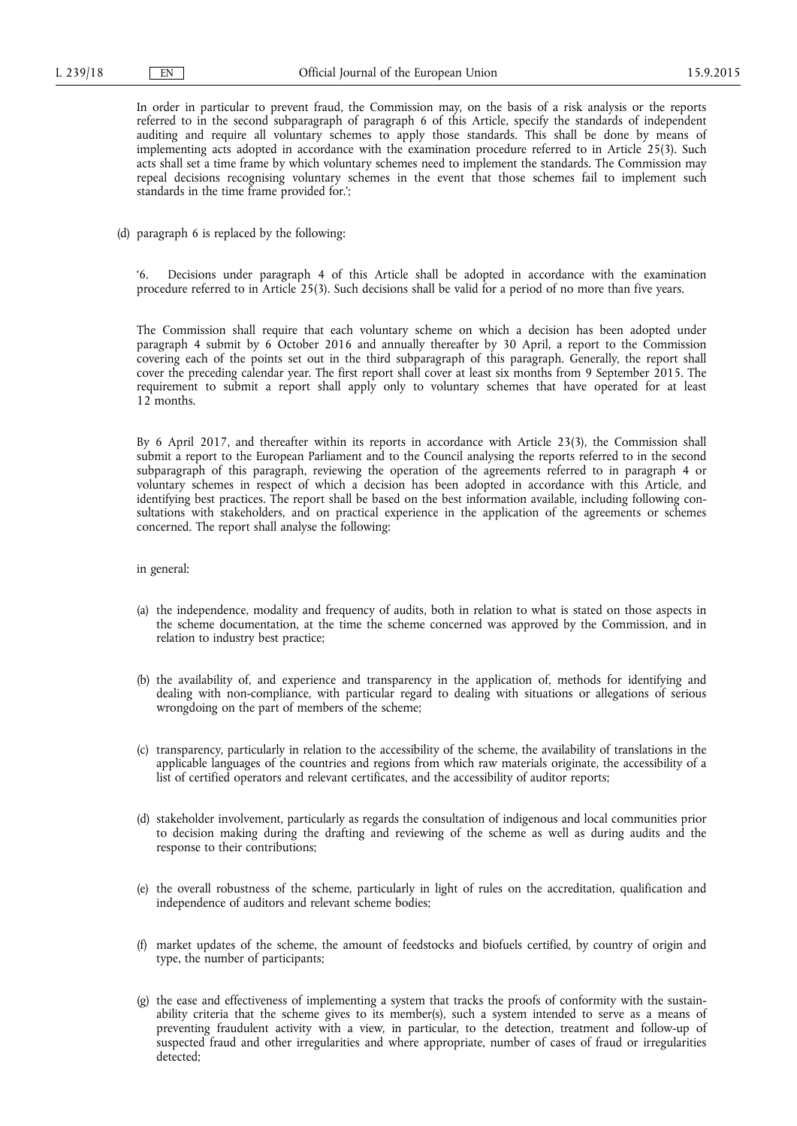In order in particular to prevent fraud, the Commission may, on the basis of a risk analysis or the reports referred to in the second subparagraph of paragraph 6 of this Article, specify the standards of independent auditing and require all voluntary schemes to apply those standards. This shall be done by means of implementing acts adopted in accordance with the examination procedure referred to in Article 25(3). Such acts shall set a time frame by which voluntary schemes need to implement the standards. The Commission may repeal decisions recognising voluntary schemes in the event that those schemes fail to implement such standards in the time frame provided for.';

(d) paragraph 6 is replaced by the following:

Decisions under paragraph 4 of this Article shall be adopted in accordance with the examination procedure referred to in Article 25(3). Such decisions shall be valid for a period of no more than five years.

The Commission shall require that each voluntary scheme on which a decision has been adopted under paragraph 4 submit by 6 October 2016 and annually thereafter by 30 April, a report to the Commission covering each of the points set out in the third subparagraph of this paragraph. Generally, the report shall cover the preceding calendar year. The first report shall cover at least six months from 9 September 2015. The requirement to submit a report shall apply only to voluntary schemes that have operated for at least 12 months.

By 6 April 2017, and thereafter within its reports in accordance with Article 23(3), the Commission shall submit a report to the European Parliament and to the Council analysing the reports referred to in the second subparagraph of this paragraph, reviewing the operation of the agreements referred to in paragraph 4 or voluntary schemes in respect of which a decision has been adopted in accordance with this Article, and identifying best practices. The report shall be based on the best information available, including following consultations with stakeholders, and on practical experience in the application of the agreements or schemes concerned. The report shall analyse the following:

in general:

- (a) the independence, modality and frequency of audits, both in relation to what is stated on those aspects in the scheme documentation, at the time the scheme concerned was approved by the Commission, and in relation to industry best practice;
- (b) the availability of, and experience and transparency in the application of, methods for identifying and dealing with non-compliance, with particular regard to dealing with situations or allegations of serious wrongdoing on the part of members of the scheme;
- (c) transparency, particularly in relation to the accessibility of the scheme, the availability of translations in the applicable languages of the countries and regions from which raw materials originate, the accessibility of a list of certified operators and relevant certificates, and the accessibility of auditor reports;
- (d) stakeholder involvement, particularly as regards the consultation of indigenous and local communities prior to decision making during the drafting and reviewing of the scheme as well as during audits and the response to their contributions;
- (e) the overall robustness of the scheme, particularly in light of rules on the accreditation, qualification and independence of auditors and relevant scheme bodies;
- (f) market updates of the scheme, the amount of feedstocks and biofuels certified, by country of origin and type, the number of participants;
- (g) the ease and effectiveness of implementing a system that tracks the proofs of conformity with the sustainability criteria that the scheme gives to its member(s), such a system intended to serve as a means of preventing fraudulent activity with a view, in particular, to the detection, treatment and follow-up of suspected fraud and other irregularities and where appropriate, number of cases of fraud or irregularities detected;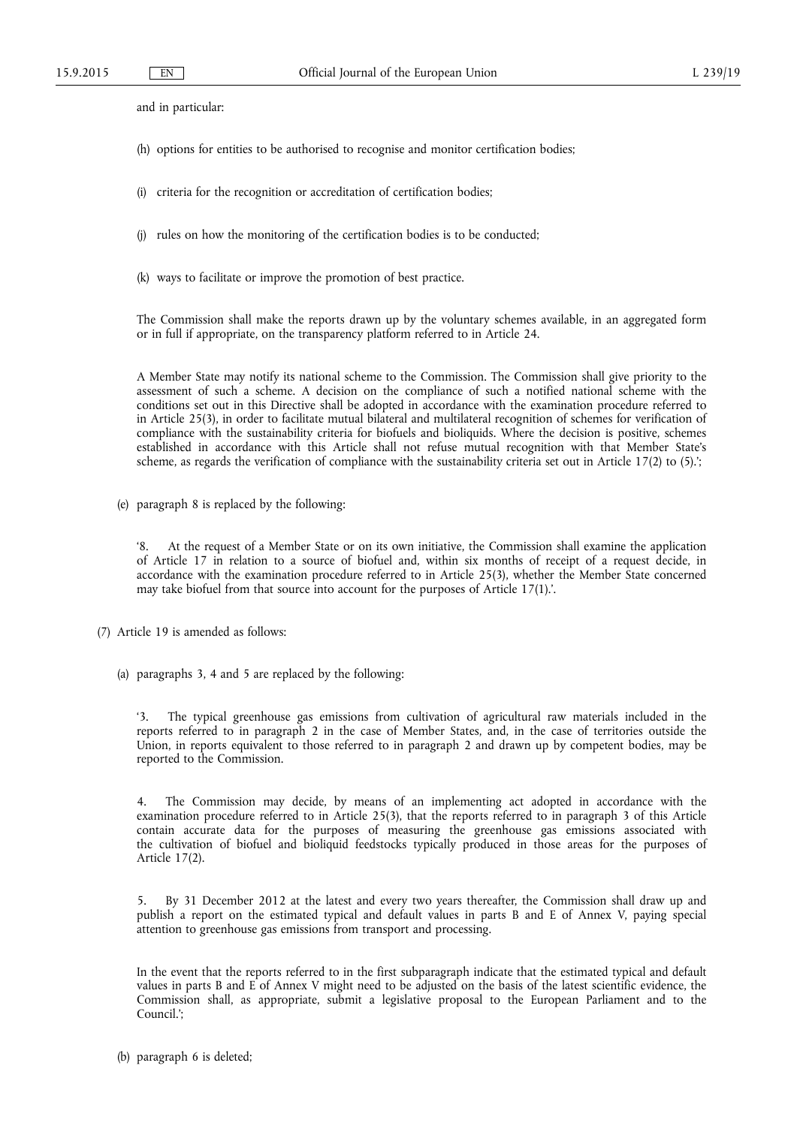and in particular:

- (h) options for entities to be authorised to recognise and monitor certification bodies;
- (i) criteria for the recognition or accreditation of certification bodies;
- (j) rules on how the monitoring of the certification bodies is to be conducted;
- (k) ways to facilitate or improve the promotion of best practice.

The Commission shall make the reports drawn up by the voluntary schemes available, in an aggregated form or in full if appropriate, on the transparency platform referred to in Article 24.

A Member State may notify its national scheme to the Commission. The Commission shall give priority to the assessment of such a scheme. A decision on the compliance of such a notified national scheme with the conditions set out in this Directive shall be adopted in accordance with the examination procedure referred to in Article 25(3), in order to facilitate mutual bilateral and multilateral recognition of schemes for verification of compliance with the sustainability criteria for biofuels and bioliquids. Where the decision is positive, schemes established in accordance with this Article shall not refuse mutual recognition with that Member State's scheme, as regards the verification of compliance with the sustainability criteria set out in Article 17(2) to (5).';

(e) paragraph 8 is replaced by the following:

At the request of a Member State or on its own initiative, the Commission shall examine the application of Article 17 in relation to a source of biofuel and, within six months of receipt of a request decide, in accordance with the examination procedure referred to in Article 25(3), whether the Member State concerned may take biofuel from that source into account for the purposes of Article 17(1).'.

- (7) Article 19 is amended as follows:
	- (a) paragraphs 3, 4 and 5 are replaced by the following:

The typical greenhouse gas emissions from cultivation of agricultural raw materials included in the reports referred to in paragraph 2 in the case of Member States, and, in the case of territories outside the Union, in reports equivalent to those referred to in paragraph 2 and drawn up by competent bodies, may be reported to the Commission.

The Commission may decide, by means of an implementing act adopted in accordance with the examination procedure referred to in Article 25(3), that the reports referred to in paragraph 3 of this Article contain accurate data for the purposes of measuring the greenhouse gas emissions associated with the cultivation of biofuel and bioliquid feedstocks typically produced in those areas for the purposes of Article 17(2).

5. By 31 December 2012 at the latest and every two years thereafter, the Commission shall draw up and publish a report on the estimated typical and default values in parts B and E of Annex V, paying special attention to greenhouse gas emissions from transport and processing.

In the event that the reports referred to in the first subparagraph indicate that the estimated typical and default values in parts B and E of Annex V might need to be adjusted on the basis of the latest scientific evidence, the Commission shall, as appropriate, submit a legislative proposal to the European Parliament and to the Council.';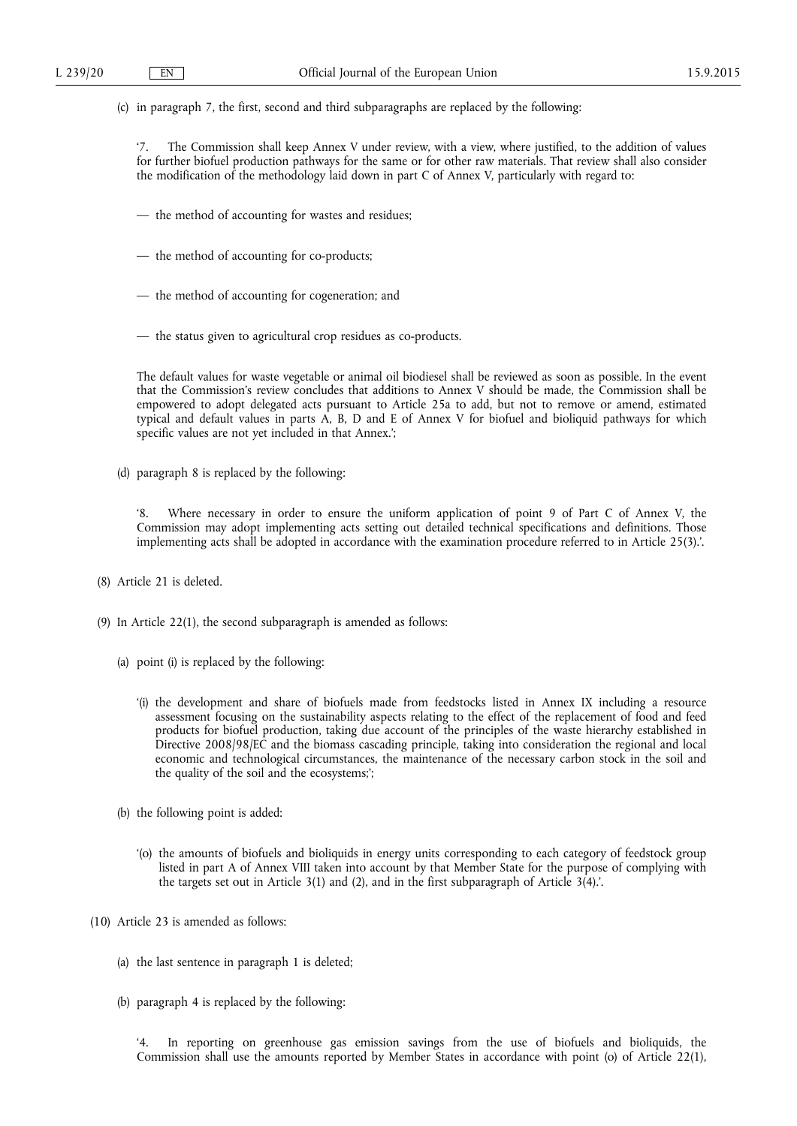(c) in paragraph 7, the first, second and third subparagraphs are replaced by the following:

The Commission shall keep Annex V under review, with a view, where justified, to the addition of values for further biofuel production pathways for the same or for other raw materials. That review shall also consider the modification of the methodology laid down in part C of Annex V, particularly with regard to:

- the method of accounting for wastes and residues;
- the method of accounting for co-products;
- the method of accounting for cogeneration; and
- the status given to agricultural crop residues as co-products.

The default values for waste vegetable or animal oil biodiesel shall be reviewed as soon as possible. In the event that the Commission's review concludes that additions to Annex V should be made, the Commission shall be empowered to adopt delegated acts pursuant to Article 25a to add, but not to remove or amend, estimated typical and default values in parts A, B, D and E of Annex V for biofuel and bioliquid pathways for which specific values are not yet included in that Annex.';

(d) paragraph 8 is replaced by the following:

Where necessary in order to ensure the uniform application of point 9 of Part C of Annex V, the Commission may adopt implementing acts setting out detailed technical specifications and definitions. Those implementing acts shall be adopted in accordance with the examination procedure referred to in Article 25(3).'.

- (8) Article 21 is deleted.
- (9) In Article 22(1), the second subparagraph is amended as follows:
	- (a) point (i) is replaced by the following:
		- '(i) the development and share of biofuels made from feedstocks listed in Annex IX including a resource assessment focusing on the sustainability aspects relating to the effect of the replacement of food and feed products for biofuel production, taking due account of the principles of the waste hierarchy established in Directive 2008/98/EC and the biomass cascading principle, taking into consideration the regional and local economic and technological circumstances, the maintenance of the necessary carbon stock in the soil and the quality of the soil and the ecosystems;';
	- (b) the following point is added:
		- '(o) the amounts of biofuels and bioliquids in energy units corresponding to each category of feedstock group listed in part A of Annex VIII taken into account by that Member State for the purpose of complying with the targets set out in Article  $3(1)$  and  $(2)$ , and in the first subparagraph of Article  $3(4)$ .
- (10) Article 23 is amended as follows:
	- (a) the last sentence in paragraph 1 is deleted;
	- (b) paragraph 4 is replaced by the following:

In reporting on greenhouse gas emission savings from the use of biofuels and bioliquids, the Commission shall use the amounts reported by Member States in accordance with point (o) of Article 22(1),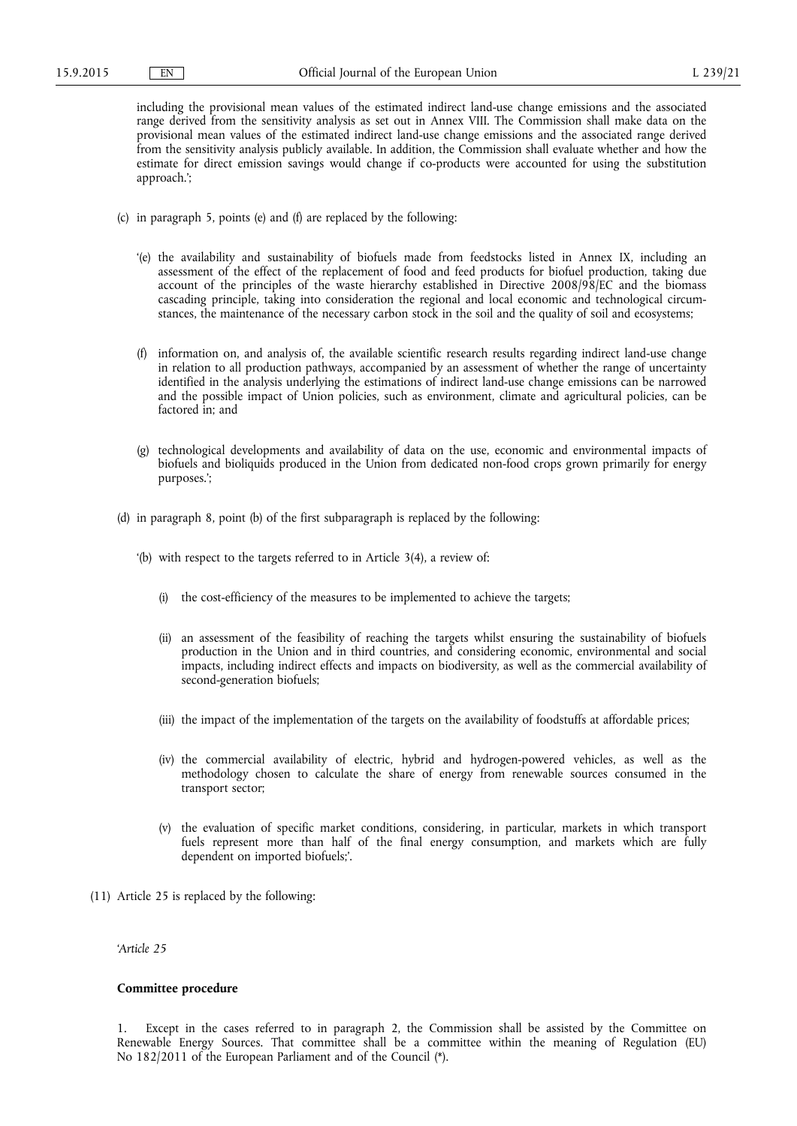including the provisional mean values of the estimated indirect land-use change emissions and the associated range derived from the sensitivity analysis as set out in Annex VIII. The Commission shall make data on the provisional mean values of the estimated indirect land-use change emissions and the associated range derived from the sensitivity analysis publicly available. In addition, the Commission shall evaluate whether and how the estimate for direct emission savings would change if co-products were accounted for using the substitution approach.';

- (c) in paragraph 5, points (e) and (f) are replaced by the following:
	- '(e) the availability and sustainability of biofuels made from feedstocks listed in Annex IX, including an assessment of the effect of the replacement of food and feed products for biofuel production, taking due account of the principles of the waste hierarchy established in Directive 2008/98/EC and the biomass cascading principle, taking into consideration the regional and local economic and technological circumstances, the maintenance of the necessary carbon stock in the soil and the quality of soil and ecosystems;
	- (f) information on, and analysis of, the available scientific research results regarding indirect land-use change in relation to all production pathways, accompanied by an assessment of whether the range of uncertainty identified in the analysis underlying the estimations of indirect land-use change emissions can be narrowed and the possible impact of Union policies, such as environment, climate and agricultural policies, can be factored in; and
	- (g) technological developments and availability of data on the use, economic and environmental impacts of biofuels and bioliquids produced in the Union from dedicated non-food crops grown primarily for energy purposes.';
- (d) in paragraph 8, point (b) of the first subparagraph is replaced by the following:
	- '(b) with respect to the targets referred to in Article 3(4), a review of:
		- (i) the cost-efficiency of the measures to be implemented to achieve the targets;
		- (ii) an assessment of the feasibility of reaching the targets whilst ensuring the sustainability of biofuels production in the Union and in third countries, and considering economic, environmental and social impacts, including indirect effects and impacts on biodiversity, as well as the commercial availability of second-generation biofuels;
		- (iii) the impact of the implementation of the targets on the availability of foodstuffs at affordable prices;
		- (iv) the commercial availability of electric, hybrid and hydrogen-powered vehicles, as well as the methodology chosen to calculate the share of energy from renewable sources consumed in the transport sector;
		- (v) the evaluation of specific market conditions, considering, in particular, markets in which transport fuels represent more than half of the final energy consumption, and markets which are fully dependent on imported biofuels;'.
- (11) Article 25 is replaced by the following:

*'Article 25* 

## **Committee procedure**

1. Except in the cases referred to in paragraph 2, the Commission shall be assisted by the Committee on Renewable Energy Sources. That committee shall be a committee within the meaning of Regulation (EU) No 182/2011 of the European Parliament and of the Council (\*).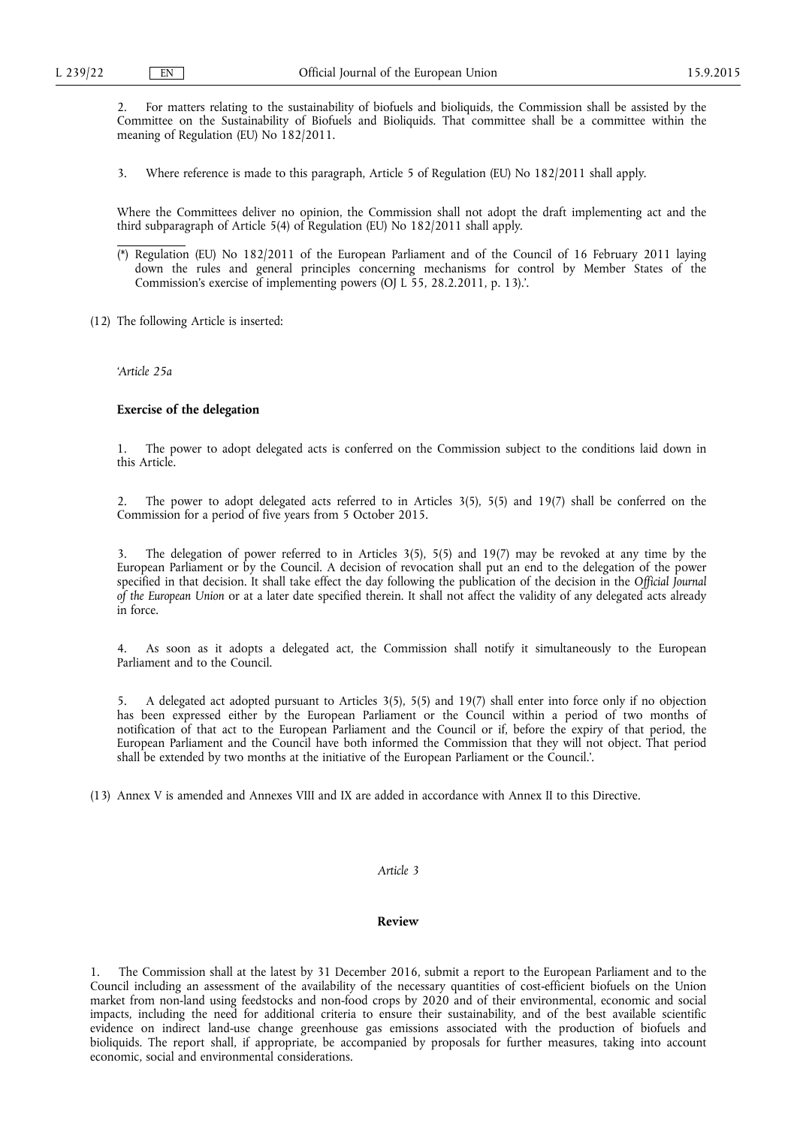2. For matters relating to the sustainability of biofuels and bioliquids, the Commission shall be assisted by the Committee on the Sustainability of Biofuels and Bioliquids. That committee shall be a committee within the meaning of Regulation (EU) No 182/2011.

3. Where reference is made to this paragraph, Article 5 of Regulation (EU) No 182/2011 shall apply.

Where the Committees deliver no opinion, the Commission shall not adopt the draft implementing act and the third subparagraph of Article 5(4) of Regulation (EU) No 182/2011 shall apply.

- (\*) Regulation (EU) No 182/2011 of the European Parliament and of the Council of 16 February 2011 laying down the rules and general principles concerning mechanisms for control by Member States of the Commission's exercise of implementing powers (OJ L 55, 28.2.2011, p. 13).'.
- (12) The following Article is inserted:

*'Article 25a* 

#### **Exercise of the delegation**

1. The power to adopt delegated acts is conferred on the Commission subject to the conditions laid down in this Article.

2. The power to adopt delegated acts referred to in Articles 3(5), 5(5) and 19(7) shall be conferred on the Commission for a period of five years from 5 October 2015.

The delegation of power referred to in Articles  $3(5)$ ,  $5(5)$  and  $19(7)$  may be revoked at any time by the European Parliament or by the Council. A decision of revocation shall put an end to the delegation of the power specified in that decision. It shall take effect the day following the publication of the decision in the *Official Journal of the European Union* or at a later date specified therein. It shall not affect the validity of any delegated acts already in force.

4. As soon as it adopts a delegated act, the Commission shall notify it simultaneously to the European Parliament and to the Council.

5. A delegated act adopted pursuant to Articles 3(5), 5(5) and 19(7) shall enter into force only if no objection has been expressed either by the European Parliament or the Council within a period of two months of notification of that act to the European Parliament and the Council or if, before the expiry of that period, the European Parliament and the Council have both informed the Commission that they will not object. That period shall be extended by two months at the initiative of the European Parliament or the Council.'.

(13) Annex V is amended and Annexes VIII and IX are added in accordance with Annex II to this Directive.

### *Article 3*

## **Review**

The Commission shall at the latest by 31 December 2016, submit a report to the European Parliament and to the Council including an assessment of the availability of the necessary quantities of cost-efficient biofuels on the Union market from non-land using feedstocks and non-food crops by 2020 and of their environmental, economic and social impacts, including the need for additional criteria to ensure their sustainability, and of the best available scientific evidence on indirect land-use change greenhouse gas emissions associated with the production of biofuels and bioliquids. The report shall, if appropriate, be accompanied by proposals for further measures, taking into account economic, social and environmental considerations.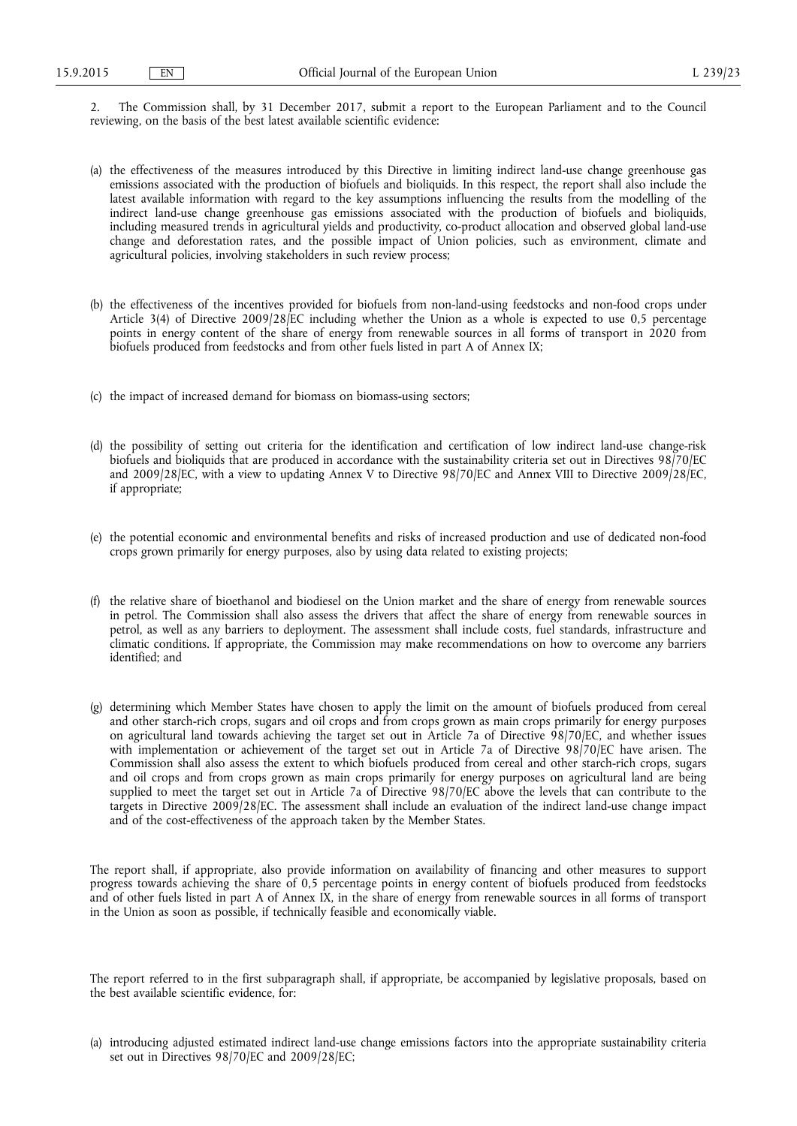2. The Commission shall, by 31 December 2017, submit a report to the European Parliament and to the Council reviewing, on the basis of the best latest available scientific evidence:

- (a) the effectiveness of the measures introduced by this Directive in limiting indirect land-use change greenhouse gas emissions associated with the production of biofuels and bioliquids. In this respect, the report shall also include the latest available information with regard to the key assumptions influencing the results from the modelling of the indirect land-use change greenhouse gas emissions associated with the production of biofuels and bioliquids, including measured trends in agricultural yields and productivity, co-product allocation and observed global land-use change and deforestation rates, and the possible impact of Union policies, such as environment, climate and agricultural policies, involving stakeholders in such review process;
- (b) the effectiveness of the incentives provided for biofuels from non-land-using feedstocks and non-food crops under Article 3(4) of Directive 2009/28/EC including whether the Union as a whole is expected to use 0,5 percentage points in energy content of the share of energy from renewable sources in all forms of transport in 2020 from biofuels produced from feedstocks and from other fuels listed in part A of Annex IX;
- (c) the impact of increased demand for biomass on biomass-using sectors;
- (d) the possibility of setting out criteria for the identification and certification of low indirect land-use change-risk biofuels and bioliquids that are produced in accordance with the sustainability criteria set out in Directives 98/70/EC and 2009/28/EC, with a view to updating Annex V to Directive 98/70/EC and Annex VIII to Directive 2009/28/EC, if appropriate;
- (e) the potential economic and environmental benefits and risks of increased production and use of dedicated non-food crops grown primarily for energy purposes, also by using data related to existing projects;
- (f) the relative share of bioethanol and biodiesel on the Union market and the share of energy from renewable sources in petrol. The Commission shall also assess the drivers that affect the share of energy from renewable sources in petrol, as well as any barriers to deployment. The assessment shall include costs, fuel standards, infrastructure and climatic conditions. If appropriate, the Commission may make recommendations on how to overcome any barriers identified; and
- (g) determining which Member States have chosen to apply the limit on the amount of biofuels produced from cereal and other starch-rich crops, sugars and oil crops and from crops grown as main crops primarily for energy purposes on agricultural land towards achieving the target set out in Article 7a of Directive 98/70/EC, and whether issues with implementation or achievement of the target set out in Article 7a of Directive 98/70/EC have arisen. The Commission shall also assess the extent to which biofuels produced from cereal and other starch-rich crops, sugars and oil crops and from crops grown as main crops primarily for energy purposes on agricultural land are being supplied to meet the target set out in Article 7a of Directive 98/70/EC above the levels that can contribute to the targets in Directive 2009/28/EC. The assessment shall include an evaluation of the indirect land-use change impact and of the cost-effectiveness of the approach taken by the Member States.

The report shall, if appropriate, also provide information on availability of financing and other measures to support progress towards achieving the share of 0,5 percentage points in energy content of biofuels produced from feedstocks and of other fuels listed in part A of Annex IX, in the share of energy from renewable sources in all forms of transport in the Union as soon as possible, if technically feasible and economically viable.

The report referred to in the first subparagraph shall, if appropriate, be accompanied by legislative proposals, based on the best available scientific evidence, for:

(a) introducing adjusted estimated indirect land-use change emissions factors into the appropriate sustainability criteria set out in Directives 98/70/EC and 2009/28/EC;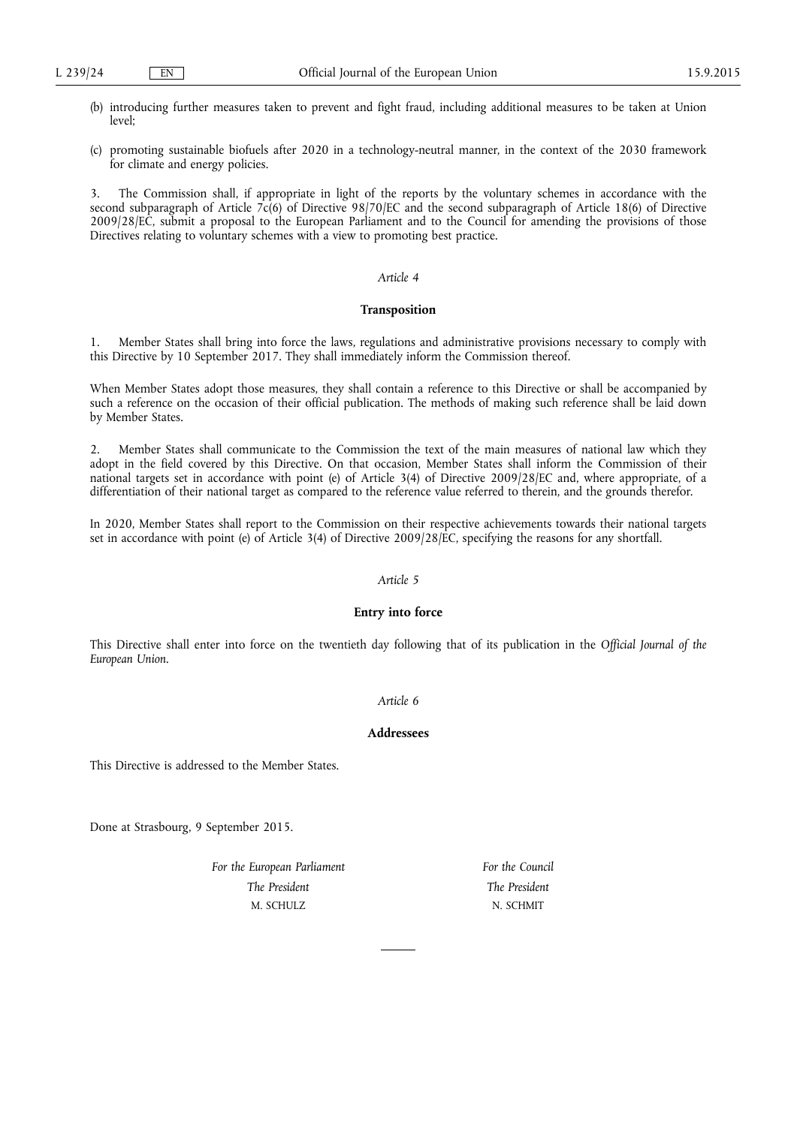- (b) introducing further measures taken to prevent and fight fraud, including additional measures to be taken at Union  $level<sup>2</sup>$
- (c) promoting sustainable biofuels after 2020 in a technology-neutral manner, in the context of the 2030 framework for climate and energy policies.

3. The Commission shall, if appropriate in light of the reports by the voluntary schemes in accordance with the second subparagraph of Article  $7c(6)$  of Directive 98/70/EC and the second subparagraph of Article 18(6) of Directive 2009/28/EC, submit a proposal to the European Parliament and to the Council for amending the provisions of those Directives relating to voluntary schemes with a view to promoting best practice.

## *Article 4*

#### **Transposition**

1. Member States shall bring into force the laws, regulations and administrative provisions necessary to comply with this Directive by 10 September 2017. They shall immediately inform the Commission thereof.

When Member States adopt those measures, they shall contain a reference to this Directive or shall be accompanied by such a reference on the occasion of their official publication. The methods of making such reference shall be laid down by Member States.

2. Member States shall communicate to the Commission the text of the main measures of national law which they adopt in the field covered by this Directive. On that occasion, Member States shall inform the Commission of their national targets set in accordance with point (e) of Article 3(4) of Directive 2009/28/EC and, where appropriate, of a differentiation of their national target as compared to the reference value referred to therein, and the grounds therefor.

In 2020, Member States shall report to the Commission on their respective achievements towards their national targets set in accordance with point (e) of Article 3(4) of Directive 2009/28/EC, specifying the reasons for any shortfall.

# *Article 5*

## **Entry into force**

This Directive shall enter into force on the twentieth day following that of its publication in the *Official Journal of the European Union*.

## *Article 6*

## **Addressees**

This Directive is addressed to the Member States.

Done at Strasbourg, 9 September 2015.

*For the European Parliament The President*  M. SCHULZ

*For the Council The President*  N. SCHMIT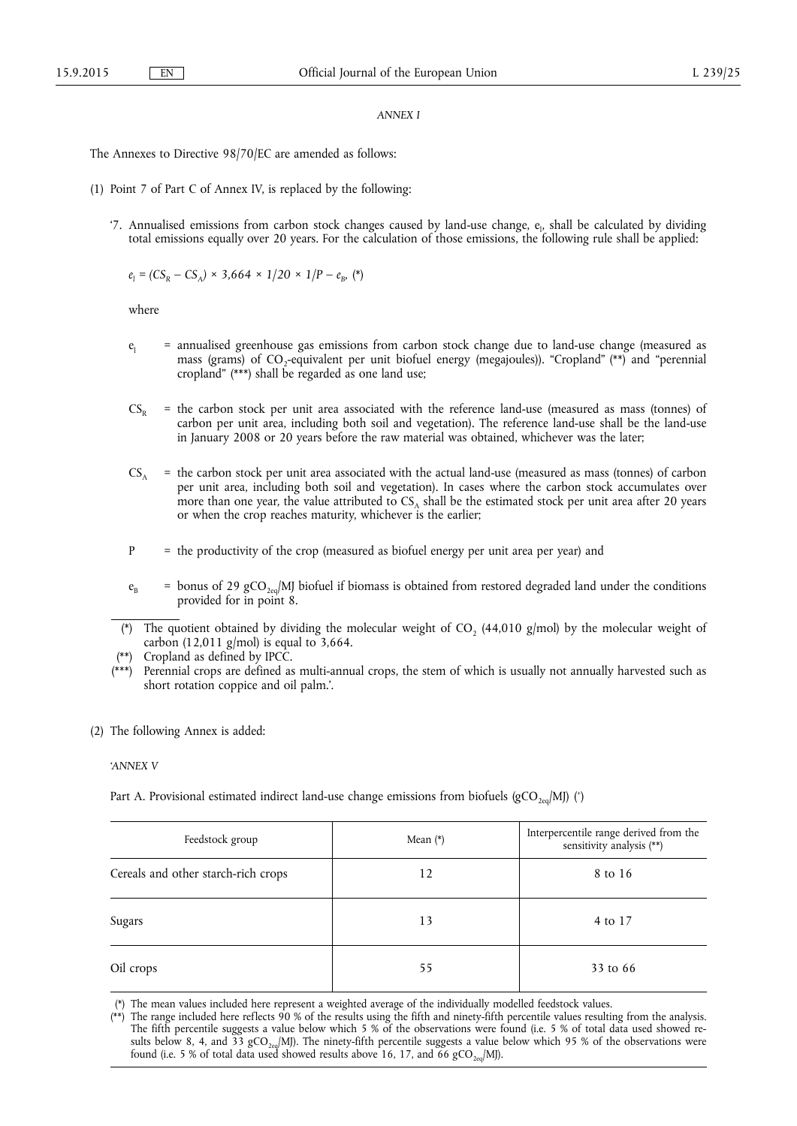#### *ANNEX I*

The Annexes to Directive 98/70/EC are amended as follows:

- (1) Point 7 of Part C of Annex IV, is replaced by the following:
	- '7. Annualised emissions from carbon stock changes caused by land-use change, e<sub>l</sub>, shall be calculated by dividing total emissions equally over 20 years. For the calculation of those emissions, the following rule shall be applied:

$$
e_1 = (CS_R - CS_A) \times 3,664 \times 1/20 \times 1/P - e_B
$$
, (\*)

where

- $e_i$  = annualised greenhouse gas emissions from carbon stock change due to land-use change (measured as mass (grams) of CO<sub>2</sub>-equivalent per unit biofuel energy (megajoules)). "Cropland" (\*\*) and "perennial cropland" (\*\*\*) shall be regarded as one land use;
- $CS<sub>p</sub>$  = the carbon stock per unit area associated with the reference land-use (measured as mass (tonnes) of carbon per unit area, including both soil and vegetation). The reference land-use shall be the land-use in January 2008 or 20 years before the raw material was obtained, whichever was the later;
- $CS_A$  = the carbon stock per unit area associated with the actual land-use (measured as mass (tonnes) of carbon per unit area, including both soil and vegetation). In cases where the carbon stock accumulates over more than one year, the value attributed to  $CS<sub>A</sub>$  shall be the estimated stock per unit area after 20 years or when the crop reaches maturity, whichever is the earlier;
- P = the productivity of the crop (measured as biofuel energy per unit area per year) and
- $e_B$  = bonus of 29 gCO<sub>2eq</sub>/MJ biofuel if biomass is obtained from restored degraded land under the conditions provided for in point 8.
- (\*) The quotient obtained by dividing the molecular weight of CO<sub>2</sub> (44,010 g/mol) by the molecular weight of carbon (12,011 g/mol) is equal to  $3,664$ .
- (\*\*) Cropland as defined by IPCC.
- (\*\*\*) Perennial crops are defined as multi-annual crops, the stem of which is usually not annually harvested such as short rotation coppice and oil palm.'.
- (2) The following Annex is added:

#### *'ANNEX V*

Part A. Provisional estimated indirect land-use change emissions from biofuels (gCO<sub>2eq</sub>/MJ) (\*)

| Feedstock group                     | Mean $(*)$ | Interpercentile range derived from the sensitivity analysis $\left(^{\ast\ast}\right)$ |
|-------------------------------------|------------|----------------------------------------------------------------------------------------|
| Cereals and other starch-rich crops | 12         | 8 to 16                                                                                |
| Sugars                              | 13         | 4 to 17                                                                                |
| Oil crops                           | 55         | 33 to 66                                                                               |

(\*) The mean values included here represent a weighted average of the individually modelled feedstock values.

(\*\*) The range included here reflects 90 % of the results using the fifth and ninety-fifth percentile values resulting from the analysis. The fifth percentile suggests a value below which 5 % of the observations were found (i.e. 5 % of total data used showed results below 8, 4, and 33 gCO<sub>2eq</sub>/MJ). The ninety-fifth percentile suggests a value below which 95 % of the observations were found (i.e. 5 % of total data used showed results above 16, 17, and 66  $\rm gCO_{2eq}/MJ).$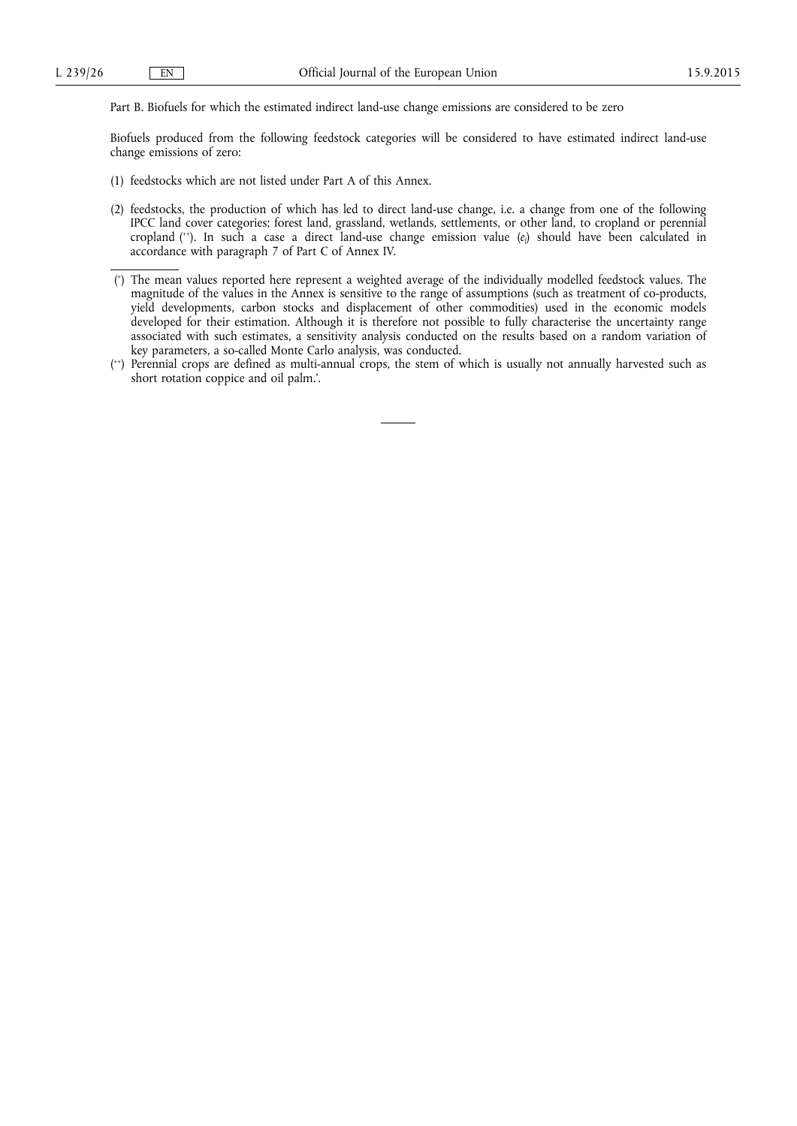Part B. Biofuels for which the estimated indirect land-use change emissions are considered to be zero

Biofuels produced from the following feedstock categories will be considered to have estimated indirect land-use change emissions of zero:

- (1) feedstocks which are not listed under Part A of this Annex.
- (2) feedstocks, the production of which has led to direct land-use change, i.e. a change from one of the following IPCC land cover categories; forest land, grassland, wetlands, settlements, or other land, to cropland or perennial cropland (<sup>++</sup>). In such a case a direct land-use change emission value (*e*<sub>l</sub>) should have been calculated in accordance with paragraph 7 of Part C of Annex IV.

<sup>(</sup> + ) The mean values reported here represent a weighted average of the individually modelled feedstock values. The magnitude of the values in the Annex is sensitive to the range of assumptions (such as treatment of co-products, yield developments, carbon stocks and displacement of other commodities) used in the economic models developed for their estimation. Although it is therefore not possible to fully characterise the uncertainty range associated with such estimates, a sensitivity analysis conducted on the results based on a random variation of key parameters, a so-called Monte Carlo analysis, was conducted.

<sup>(</sup> ++) Perennial crops are defined as multi-annual crops, the stem of which is usually not annually harvested such as short rotation coppice and oil palm.'.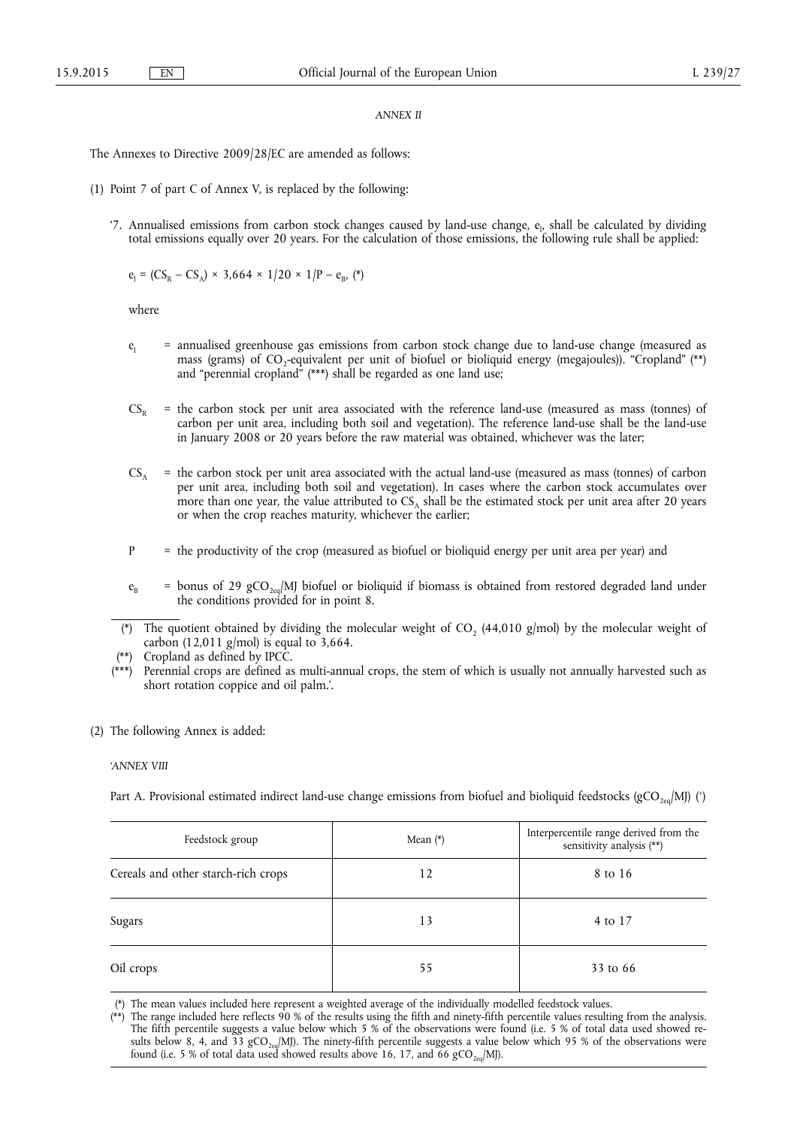## *ANNEX II*

The Annexes to Directive 2009/28/EC are amended as follows:

- (1) Point 7 of part C of Annex V, is replaced by the following:
	- '7. Annualised emissions from carbon stock changes caused by land-use change, e<sub>l</sub>, shall be calculated by dividing total emissions equally over 20 years. For the calculation of those emissions, the following rule shall be applied:

$$
e_1 = (CS_R - CS_A) \times 3,664 \times 1/20 \times 1/P - e_B
$$
, (\*)

where

- $e_i$  = annualised greenhouse gas emissions from carbon stock change due to land-use change (measured as mass (grams) of CO<sub>2</sub>-equivalent per unit of biofuel or bioliquid energy (megajoules)). "Cropland" (\*\*) and "perennial cropland" (\*\*\*) shall be regarded as one land use;
- $CS<sub>p</sub>$  = the carbon stock per unit area associated with the reference land-use (measured as mass (tonnes) of carbon per unit area, including both soil and vegetation). The reference land-use shall be the land-use in January 2008 or 20 years before the raw material was obtained, whichever was the later;
- $CS_A$  = the carbon stock per unit area associated with the actual land-use (measured as mass (tonnes) of carbon per unit area, including both soil and vegetation). In cases where the carbon stock accumulates over more than one year, the value attributed to  $CS<sub>A</sub>$  shall be the estimated stock per unit area after 20 years or when the crop reaches maturity, whichever the earlier;
- $P =$  the productivity of the crop (measured as biofuel or bioliquid energy per unit area per year) and
- $e_B$  = bonus of 29 gCO<sub>2eq</sub>/MJ biofuel or bioliquid if biomass is obtained from restored degraded land under the conditions provided for in point 8.
- (\*) The quotient obtained by dividing the molecular weight of CO<sub>2</sub> (44,010 g/mol) by the molecular weight of carbon (12,011 g/mol) is equal to  $3,664$ .
- (\*\*) Cropland as defined by IPCC.
- (\*\*\*) Perennial crops are defined as multi-annual crops, the stem of which is usually not annually harvested such as short rotation coppice and oil palm.'.
- (2) The following Annex is added:

#### *'ANNEX VIII*

Part A. Provisional estimated indirect land-use change emissions from biofuel and bioliquid feedstocks (gCO<sub>2eq</sub>/MJ) (\*)

| Feedstock group                     | Mean $(*)$ | Interpercentile range derived from the sensitivity analysis $(**)$ |
|-------------------------------------|------------|--------------------------------------------------------------------|
| Cereals and other starch-rich crops | 12         | 8 to 16                                                            |
| Sugars                              | 13         | 4 to 17                                                            |
| Oil crops                           | 55         | 33 to 66                                                           |

(\*) The mean values included here represent a weighted average of the individually modelled feedstock values.

 $(**)$  The range included here reflects 90 % of the results using the fifth and ninety-fifth percentile values resulting from the analysis. The fifth percentile suggests a value below which 5 % of the observations were found (i.e. 5 % of total data used showed results below 8, 4, and 33 gCO<sub>2eq</sub>/MJ). The ninety-fifth percentile suggests a value below which 95 % of the observations were found (i.e. 5 % of total data used showed results above 16, 17, and 66  $\rm gCO_{2eq}/MJ).$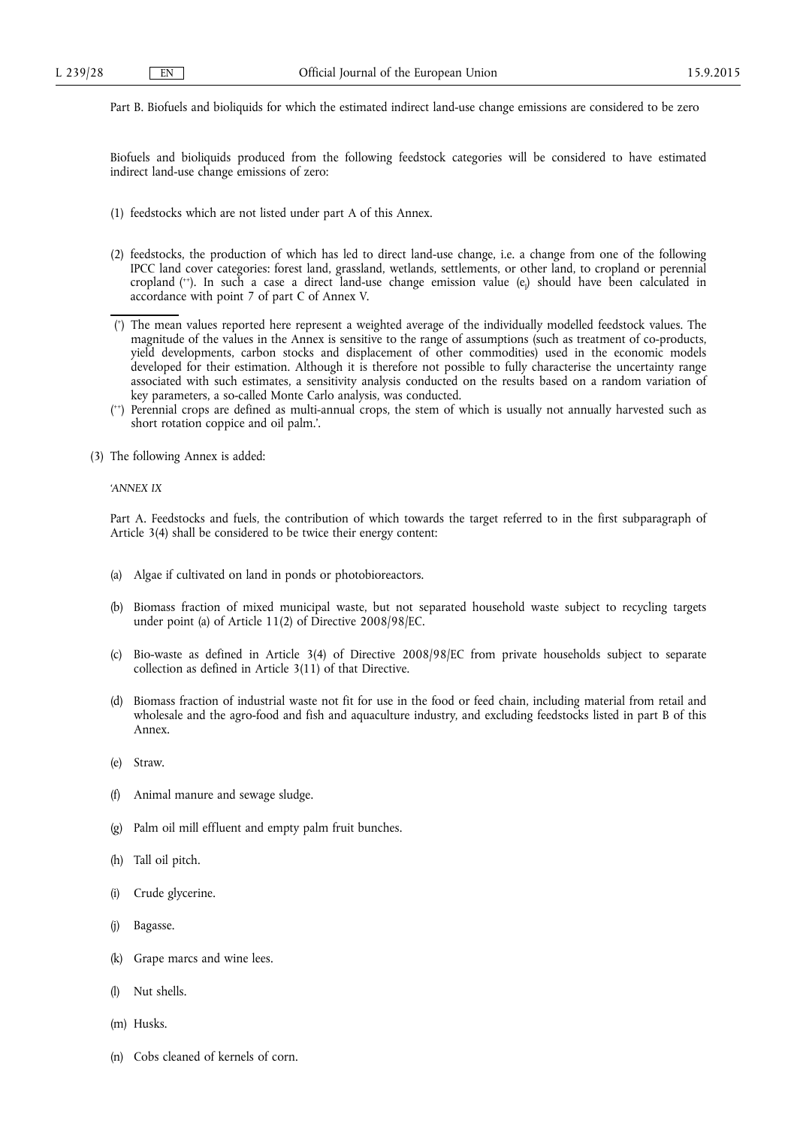Part B. Biofuels and bioliquids for which the estimated indirect land-use change emissions are considered to be zero

Biofuels and bioliquids produced from the following feedstock categories will be considered to have estimated indirect land-use change emissions of zero:

- (1) feedstocks which are not listed under part A of this Annex.
- (2) feedstocks, the production of which has led to direct land-use change, i.e. a change from one of the following IPCC land cover categories: forest land, grassland, wetlands, settlements, or other land, to cropland or perennial cropland (<sup>++</sup>). In such a case a direct land-use change emission value (e<sub>l</sub>) should have been calculated in accordance with point 7 of part C of Annex V.
- ( + ) The mean values reported here represent a weighted average of the individually modelled feedstock values. The magnitude of the values in the Annex is sensitive to the range of assumptions (such as treatment of co-products, yield developments, carbon stocks and displacement of other commodities) used in the economic models developed for their estimation. Although it is therefore not possible to fully characterise the uncertainty range associated with such estimates, a sensitivity analysis conducted on the results based on a random variation of key parameters, a so-called Monte Carlo analysis, was conducted.
- ( ++) Perennial crops are defined as multi-annual crops, the stem of which is usually not annually harvested such as short rotation coppice and oil palm.'.
- (3) The following Annex is added:

### *'ANNEX IX*

Part A. Feedstocks and fuels, the contribution of which towards the target referred to in the first subparagraph of Article 3(4) shall be considered to be twice their energy content:

- (a) Algae if cultivated on land in ponds or photobioreactors.
- (b) Biomass fraction of mixed municipal waste, but not separated household waste subject to recycling targets under point (a) of Article 11(2) of Directive 2008/98/EC.
- (c) Bio-waste as defined in Article 3(4) of Directive 2008/98/EC from private households subject to separate collection as defined in Article 3(11) of that Directive.
- (d) Biomass fraction of industrial waste not fit for use in the food or feed chain, including material from retail and wholesale and the agro-food and fish and aquaculture industry, and excluding feedstocks listed in part B of this Annex.
- (e) Straw.
- Animal manure and sewage sludge.
- (g) Palm oil mill effluent and empty palm fruit bunches.
- (h) Tall oil pitch.
- (i) Crude glycerine.
- (j) Bagasse.
- (k) Grape marcs and wine lees.
- (l) Nut shells.
- (m) Husks.
- (n) Cobs cleaned of kernels of corn.